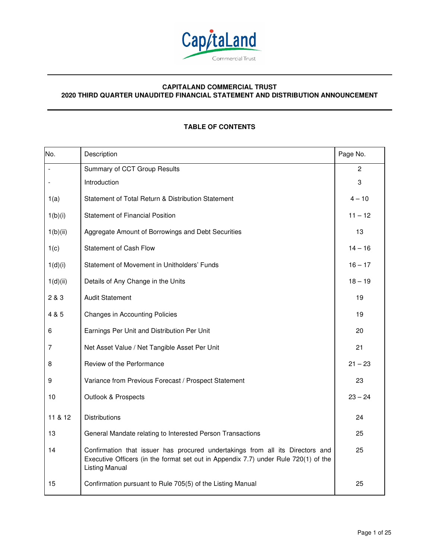

# **TABLE OF CONTENTS**

| No.      | Description                                                                                                                                                                                   | Page No.         |
|----------|-----------------------------------------------------------------------------------------------------------------------------------------------------------------------------------------------|------------------|
| $\Box$   | Summary of CCT Group Results                                                                                                                                                                  | $\mathbf{2}$     |
|          | Introduction                                                                                                                                                                                  | $\boldsymbol{3}$ |
| 1(a)     | Statement of Total Return & Distribution Statement                                                                                                                                            | $4 - 10$         |
| 1(b)(i)  | <b>Statement of Financial Position</b>                                                                                                                                                        | $11 - 12$        |
| 1(b)(ii) | Aggregate Amount of Borrowings and Debt Securities                                                                                                                                            | 13               |
| 1(c)     | <b>Statement of Cash Flow</b>                                                                                                                                                                 | $14 - 16$        |
| 1(d)(i)  | Statement of Movement in Unitholders' Funds                                                                                                                                                   | $16 - 17$        |
| 1(d)(ii) | Details of Any Change in the Units                                                                                                                                                            | $18 - 19$        |
| 2 & 3    | <b>Audit Statement</b>                                                                                                                                                                        | 19               |
| 4 & 5    | <b>Changes in Accounting Policies</b>                                                                                                                                                         | 19               |
| 6        | Earnings Per Unit and Distribution Per Unit                                                                                                                                                   | 20               |
| 7        | Net Asset Value / Net Tangible Asset Per Unit                                                                                                                                                 | 21               |
| 8        | Review of the Performance                                                                                                                                                                     | $21 - 23$        |
| 9        | Variance from Previous Forecast / Prospect Statement                                                                                                                                          | 23               |
| 10       | <b>Outlook &amp; Prospects</b>                                                                                                                                                                | $23 - 24$        |
| 11 & 12  | <b>Distributions</b>                                                                                                                                                                          | 24               |
| 13       | General Mandate relating to Interested Person Transactions                                                                                                                                    | 25               |
| 14       | Confirmation that issuer has procured undertakings from all its Directors and<br>Executive Officers (in the format set out in Appendix 7.7) under Rule 720(1) of the<br><b>Listing Manual</b> | 25               |
| 15       | Confirmation pursuant to Rule 705(5) of the Listing Manual                                                                                                                                    | 25               |
|          |                                                                                                                                                                                               |                  |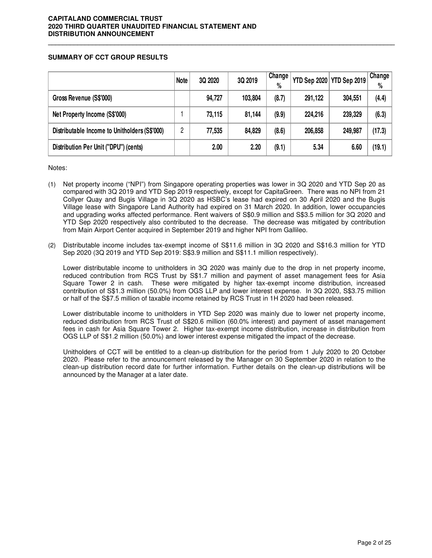## **SUMMARY OF CCT GROUP RESULTS**

|                                               | <b>Note</b>    | 3Q 2020 | 3Q 2019 | Change<br>$\%$ |         | YTD Sep 2020 YTD Sep 2019 | Change<br>% |
|-----------------------------------------------|----------------|---------|---------|----------------|---------|---------------------------|-------------|
| Gross Revenue (S\$'000)                       |                | 94,727  | 103,804 | (8.7)          | 291,122 | 304,551                   | (4.4)       |
| Net Property Income (S\$'000)                 |                | 73,115  | 81,144  | (9.9)          | 224,216 | 239,329                   | (6.3)       |
| Distributable Income to Unitholders (S\$'000) | $\overline{c}$ | 77,535  | 84,829  | (8.6)          | 206,858 | 249,987                   | (17.3)      |
| Distribution Per Unit ("DPU") (cents)         |                | 2.00    | 2.20    | (9.1)          | 5.34    | 6.60                      | (19.1)      |

**\_\_\_\_\_\_\_\_\_\_\_\_\_\_\_\_\_\_\_\_\_\_\_\_\_\_\_\_\_\_\_\_\_\_\_\_\_\_\_\_\_\_\_\_\_\_\_\_\_\_\_\_\_\_\_\_\_\_\_\_\_\_\_\_\_\_\_\_\_\_\_\_\_\_\_\_\_\_\_\_\_\_\_\_\_\_\_\_\_\_\_\_\_\_**

Notes:

- (1) Net property income ("NPI") from Singapore operating properties was lower in 3Q 2020 and YTD Sep 20 as compared with 3Q 2019 and YTD Sep 2019 respectively, except for CapitaGreen. There was no NPI from 21 Collyer Quay and Bugis Village in 3Q 2020 as HSBC's lease had expired on 30 April 2020 and the Bugis Village lease with Singapore Land Authority had expired on 31 March 2020. In addition, lower occupancies and upgrading works affected performance. Rent waivers of S\$0.9 million and S\$3.5 million for 3Q 2020 and YTD Sep 2020 respectively also contributed to the decrease. The decrease was mitigated by contribution from Main Airport Center acquired in September 2019 and higher NPI from Gallileo.
- (2) Distributable income includes tax-exempt income of S\$11.6 million in 3Q 2020 and S\$16.3 million for YTD Sep 2020 (3Q 2019 and YTD Sep 2019: S\$3.9 million and S\$11.1 million respectively).

Lower distributable income to unitholders in 3Q 2020 was mainly due to the drop in net property income, reduced contribution from RCS Trust by S\$1.7 million and payment of asset management fees for Asia Square Tower 2 in cash. These were mitigated by higher tax-exempt income distribution, increased contribution of S\$1.3 million (50.0%) from OGS LLP and lower interest expense. In 3Q 2020, S\$3.75 million or half of the S\$7.5 million of taxable income retained by RCS Trust in 1H 2020 had been released.

Lower distributable income to unitholders in YTD Sep 2020 was mainly due to lower net property income, reduced distribution from RCS Trust of S\$20.6 million (60.0% interest) and payment of asset management fees in cash for Asia Square Tower 2. Higher tax-exempt income distribution, increase in distribution from OGS LLP of S\$1.2 million (50.0%) and lower interest expense mitigated the impact of the decrease.

Unitholders of CCT will be entitled to a clean-up distribution for the period from 1 July 2020 to 20 October 2020. Please refer to the announcement released by the Manager on 30 September 2020 in relation to the clean-up distribution record date for further information. Further details on the clean-up distributions will be announced by the Manager at a later date.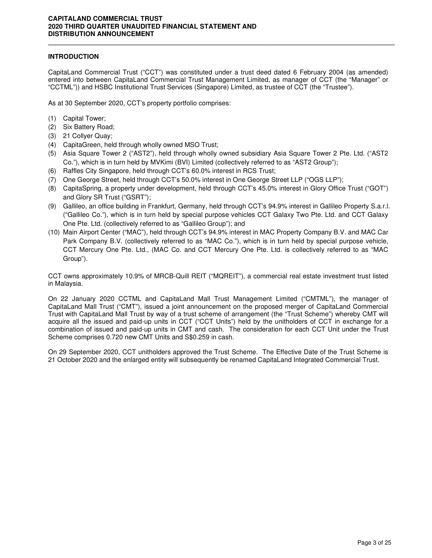## **INTRODUCTION**

CapitaLand Commercial Trust ("CCT") was constituted under a trust deed dated 6 February 2004 (as amended) entered into between CapitaLand Commercial Trust Management Limited, as manager of CCT (the "Manager" or "CCTML")) and HSBC Institutional Trust Services (Singapore) Limited, as trustee of CCT (the "Trustee").

**\_\_\_\_\_\_\_\_\_\_\_\_\_\_\_\_\_\_\_\_\_\_\_\_\_\_\_\_\_\_\_\_\_\_\_\_\_\_\_\_\_\_\_\_\_\_\_\_\_\_\_\_\_\_\_\_\_\_\_\_\_\_\_\_\_\_\_\_\_\_\_\_\_\_\_\_\_\_\_\_\_\_\_\_\_\_\_\_\_\_\_\_\_\_**

As at 30 September 2020, CCT's property portfolio comprises:

- (1) Capital Tower;
- (2) Six Battery Road;
- (3) 21 Collyer Quay;
- (4) CapitaGreen, held through wholly owned MSO Trust;
- (5) Asia Square Tower 2 ("AST2"), held through wholly owned subsidiary Asia Square Tower 2 Pte. Ltd. ("AST2 Co."), which is in turn held by MVKimi (BVI) Limited (collectively referred to as "AST2 Group");
- (6) Raffles City Singapore, held through CCT's 60.0% interest in RCS Trust;
- (7) One George Street, held through CCT's 50.0% interest in One George Street LLP ("OGS LLP");
- (8) CapitaSpring, a property under development, held through CCT's 45.0% interest in Glory Office Trust ("GOT") and Glory SR Trust ("GSRT");
- (9) Gallileo, an office building in Frankfurt, Germany, held through CCT's 94.9% interest in Gallileo Property S.a.r.l. ("Gallileo Co."), which is in turn held by special purpose vehicles CCT Galaxy Two Pte. Ltd. and CCT Galaxy One Pte. Ltd. (collectively referred to as "Gallileo Group"); and
- (10) Main Airport Center ("MAC"), held through CCT's 94.9% interest in MAC Property Company B.V. and MAC Car Park Company B.V. (collectively referred to as "MAC Co."), which is in turn held by special purpose vehicle, CCT Mercury One Pte. Ltd., (MAC Co. and CCT Mercury One Pte. Ltd. is collectively referred to as "MAC Group").

CCT owns approximately 10.9% of MRCB-Quill REIT ("MQREIT"), a commercial real estate investment trust listed in Malaysia.

On 22 January 2020 CCTML and CapitaLand Mall Trust Management Limited ("CMTML"), the manager of CapitaLand Mall Trust ("CMT"), issued a joint announcement on the proposed merger of CapitaLand Commercial Trust with CapitaLand Mall Trust by way of a trust scheme of arrangement (the "Trust Scheme") whereby CMT will acquire all the issued and paid-up units in CCT ("CCT Units") held by the unitholders of CCT in exchange for a combination of issued and paid-up units in CMT and cash. The consideration for each CCT Unit under the Trust Scheme comprises 0.720 new CMT Units and S\$0.259 in cash.

On 29 September 2020, CCT unitholders approved the Trust Scheme. The Effective Date of the Trust Scheme is 21 October 2020 and the enlarged entity will subsequently be renamed CapitaLand Integrated Commercial Trust.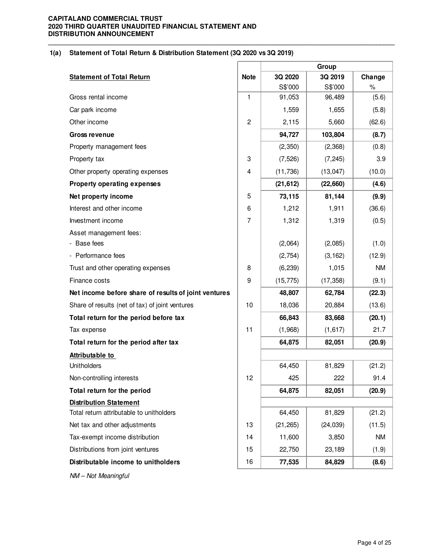## **1(a) Statement of Total Return & Distribution Statement (3Q 2020 vs 3Q 2019)**

| <b>Statement of Total Return</b>                     | <b>Note</b>    | 3Q 2020   | 3Q 2019   | Change    |
|------------------------------------------------------|----------------|-----------|-----------|-----------|
|                                                      |                | S\$'000   | S\$'000   | $\%$      |
| Gross rental income                                  | 1              | 91,053    | 96,489    | (5.6)     |
| Car park income                                      |                | 1,559     | 1,655     | (5.8)     |
| Other income                                         | $\overline{c}$ | 2,115     | 5,660     | (62.6)    |
| <b>Gross revenue</b>                                 |                | 94,727    | 103,804   | (8.7)     |
| Property management fees                             |                | (2,350)   | (2,368)   | (0.8)     |
| Property tax                                         | 3              | (7, 526)  | (7, 245)  | 3.9       |
| Other property operating expenses                    | 4              | (11, 736) | (13, 047) | (10.0)    |
| <b>Property operating expenses</b>                   |                | (21, 612) | (22, 660) | (4.6)     |
| Net property income                                  | 5              | 73,115    | 81,144    | (9.9)     |
| Interest and other income                            | 6              | 1,212     | 1,911     | (36.6)    |
| Investment income                                    | 7              | 1,312     | 1,319     | (0.5)     |
| Asset management fees:                               |                |           |           |           |
| - Base fees                                          |                | (2,064)   | (2,085)   | (1.0)     |
| - Performance fees                                   |                | (2,754)   | (3, 162)  | (12.9)    |
| Trust and other operating expenses                   | 8              | (6, 239)  | 1,015     | <b>NM</b> |
| Finance costs                                        | 9              | (15, 775) | (17, 358) | (9.1)     |
| Net income before share of results of joint ventures |                | 48,807    | 62,784    | (22.3)    |
| Share of results (net of tax) of joint ventures      | 10             | 18,036    | 20,884    | (13.6)    |
| Total return for the period before tax               |                | 66,843    | 83,668    | (20.1)    |
| Tax expense                                          | 11             | (1,968)   | (1,617)   | 21.7      |
| Total return for the period after tax                |                | 64,875    | 82,051    | (20.9)    |
| Attributable to                                      |                |           |           |           |
| Unitholders                                          |                | 64,450    | 81,829    | (21.2)    |
| Non-controlling interests                            | 12             | 425       | 222       | 91.4      |
| Total return for the period                          |                | 64,875    | 82,051    | (20.9)    |
| <b>Distribution Statement</b>                        |                |           |           |           |
| Total return attributable to unitholders             |                | 64,450    | 81,829    | (21.2)    |
| Net tax and other adjustments                        | 13             | (21, 265) | (24, 039) | (11.5)    |
| Tax-exempt income distribution                       | 14             | 11,600    | 3,850     | <b>NM</b> |
| Distributions from joint ventures                    | 15             | 22,750    | 23,189    | (1.9)     |
| Distributable income to unitholders                  | 16             | 77,535    | 84,829    | (8.6)     |

**\_\_\_\_\_\_\_\_\_\_\_\_\_\_\_\_\_\_\_\_\_\_\_\_\_\_\_\_\_\_\_\_\_\_\_\_\_\_\_\_\_\_\_\_\_\_\_\_\_\_\_\_\_\_\_\_\_\_\_\_\_\_\_\_\_\_\_\_\_\_\_\_\_\_\_\_\_\_\_\_\_\_\_\_\_\_\_\_\_\_\_\_\_\_**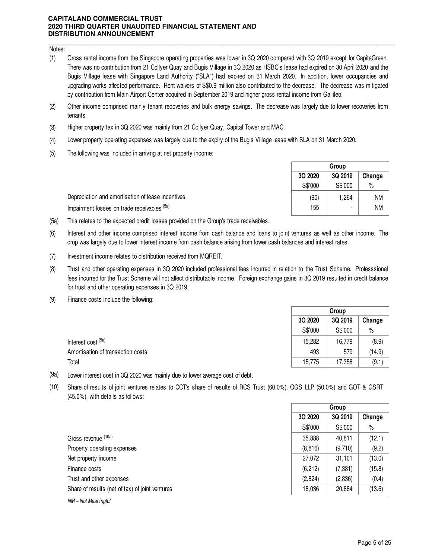**\_\_\_\_\_\_\_\_\_\_\_\_\_\_\_\_\_\_\_\_\_\_\_\_\_\_\_\_\_\_\_\_\_\_\_\_\_\_\_\_\_\_\_\_\_\_\_\_\_\_\_\_\_\_\_\_\_\_\_\_\_\_\_\_\_\_\_\_\_\_\_\_\_\_\_\_\_\_\_\_\_\_\_\_\_\_\_\_\_\_\_\_\_\_** Notes:

- (1) Gross rental income from the Singapore operating properties was lower in 3Q 2020 compared with 3Q 2019 except for CapitaGreen. There was no contribution from 21 Collyer Quay and Bugis Village in 3Q 2020 as HSBC's lease had expired on 30 April 2020 and the Bugis Village lease with Singapore Land Authority ("SLA") had expired on 31 March 2020. In addition, lower occupancies and upgrading works affected performance. Rent waivers of S\$0.9 million also contributed to the decrease. The decrease was mitigated by contribution from Main Airport Center acquired in September 2019 and higher gross rental income from Gallileo.
- (2) Other income comprised mainly tenant recoveries and bulk energy savings. The decrease was largely due to lower recoveries from tenants.
- (3) Higher property tax in 3Q 2020 was mainly from 21 Collyer Quay, Capital Tower and MAC.
- (4) Lower property operating expenses was largely due to the expiry of the Bugis Village lease with SLA on 31 March 2020.
- (5) The following was included in arriving at net property income:

| Depreciation and amortisation of lease incentives |  |
|---------------------------------------------------|--|
| Impairment losses on trade receivables (5a)       |  |

- (5a) This relates to the expected credit losses provided on the Group's trade receivables.
- (6) Interest and other income comprised interest income from cash balance and loans to joint ventures as well as other income. The drop was largely due to lower interest income from cash balance arising from lower cash balances and interest rates.
- (7) Investment income relates to distribution received from MQREIT.
- (8) Trust and other operating expenses in 3Q 2020 included professional fees incurred in relation to the Trust Scheme. Professsional fees incurred for the Trust Scheme will not affect distributable income. Foreign exchange gains in 3Q 2019 resulted in credit balance for trust and other operating expenses in 3Q 2019.
- (9) Finance costs include the following:

|         | uuuu    |        |  |
|---------|---------|--------|--|
| 3Q 2020 | 3Q 2019 | Change |  |
| S\$'000 | S\$'000 | $\%$   |  |
| 15,282  | 16,779  | (8.9)  |  |
| 493     | 579     | (14.9) |  |
| 15,775  | 17,358  | (9.1)  |  |

- (9a) Lower interest cost in 3Q 2020 was mainly due to lower average cost of debt.
- (10) Share of results of joint ventures relates to CCT's share of results of RCS Trust (60.0%), OGS LLP (50.0%) and GOT & GSRT (45.0%), with details as follows:

|                                                 | 3Q 2020  | 3Q 2019  | Change |
|-------------------------------------------------|----------|----------|--------|
|                                                 | S\$'000  | S\$'000  | $\%$   |
| Gross revenue (10a)                             | 35,888   | 40.811   | (12.1) |
| Property operating expenses                     | (8, 816) | (9,710)  | (9.2)  |
| Net property income                             | 27,072   | 31.101   | (13.0) |
| Finance costs                                   | (6, 212) | (7, 381) | (15.8) |
| Trust and other expenses                        | (2,824)  | (2,836)  | (0.4)  |
| Share of results (net of tax) of joint ventures | 18,036   | 20,884   | (13.6) |
| NM-Not Meaningful                               |          |          |        |

**3Q 2020 3Q 2019 Change** S\$'000 | S\$'000 | %

**Group**

**Group**

**Group**

(90) 1,264 NM 155 | - | NM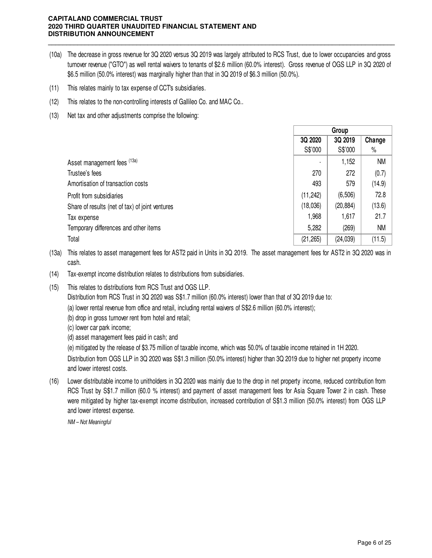(10a) The decrease in gross revenue for 3Q 2020 versus 3Q 2019 was largely attributed to RCS Trust, due to lower occupancies and gross turnover revenue ("GTO") as well rental waivers to tenants of \$2.6 million (60.0% interest). Gross revenue of OGS LLP in 3Q 2020 of \$6.5 million (50.0% interest) was marginally higher than that in 3Q 2019 of \$6.3 million (50.0%).

**\_\_\_\_\_\_\_\_\_\_\_\_\_\_\_\_\_\_\_\_\_\_\_\_\_\_\_\_\_\_\_\_\_\_\_\_\_\_\_\_\_\_\_\_\_\_\_\_\_\_\_\_\_\_\_\_\_\_\_\_\_\_\_\_\_\_\_\_\_\_\_\_\_\_\_\_\_\_\_\_\_\_\_\_\_\_\_\_\_\_\_\_\_\_**

- (11) This relates mainly to tax expense of CCT's subsidiaries.
- (12) This relates to the non-controlling interests of Gallileo Co. and MAC Co..
- (13) Net tax and other adjustments comprise the following:

|                                                 | 3Q 2020   | 3Q 2019   | Change    |
|-------------------------------------------------|-----------|-----------|-----------|
|                                                 | S\$'000   | S\$'000   | $\%$      |
| Asset management fees (13a)                     |           | 1,152     | <b>NM</b> |
| Trustee's fees                                  | 270       | 272       | (0.7)     |
| Amortisation of transaction costs               | 493       | 579       | (14.9)    |
| Profit from subsidiaries                        | (11, 242) | (6, 506)  | 72.8      |
| Share of results (net of tax) of joint ventures | (18,036)  | (20, 884) | (13.6)    |
| Tax expense                                     | 1,968     | 1,617     | 21.7      |
| Temporary differences and other items           | 5,282     | (269)     | <b>NM</b> |
| Total                                           | (21, 265) | (24, 039) | (11.5)    |

- (13a) This relates to asset management fees for AST2 paid in Units in 3Q 2019. The asset management fees for AST2 in 3Q 2020 was in cash.
- (14) Tax-exempt income distribution relates to distributions from subsidiaries.
- (15) This relates to distributions from RCS Trust and OGS LLP.

Distribution from RCS Trust in 3Q 2020 was S\$1.7 million (60.0% interest) lower than that of 3Q 2019 due to:

- (a) lower rental revenue from office and retail, including rental waivers of S\$2.6 million (60.0% interest);
- (b) drop in gross turnover rent from hotel and retail;
- (c) lower car park income;
- (d) asset management fees paid in cash; and

(e) mitigated by the release of \$3.75 million of taxable income, which was 50.0% of taxable income retained in 1H 2020.

Distribution from OGS LLP in 3Q 2020 was S\$1.3 million (50.0% interest) higher than 3Q 2019 due to higher net property income and lower interest costs.

(16) Lower distributable income to unitholders in 3Q 2020 was mainly due to the drop in net property income, reduced contribution from RCS Trust by S\$1.7 million (60.0 % interest) and payment of asset management fees for Asia Square Tower 2 in cash. These were mitigated by higher tax-exempt income distribution, increased contribution of S\$1.3 million (50.0% interest) from OGS LLP and lower interest expense.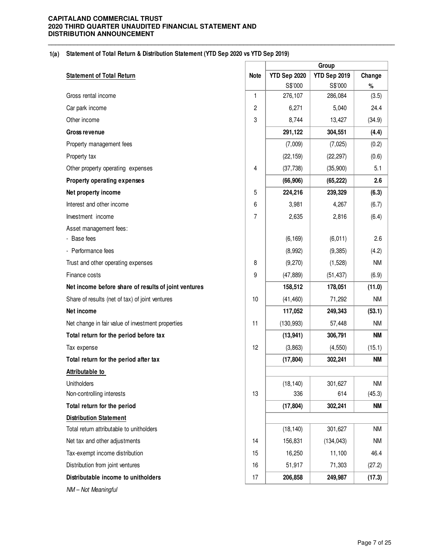## **1(a) Statement of Total Return & Distribution Statement (YTD Sep 2020 vs YTD Sep 2019)**

| <b>Statement of Total Return</b>                     | <b>Note</b> | YTD Sep 2020 | YTD Sep 2019 | Change    |
|------------------------------------------------------|-------------|--------------|--------------|-----------|
|                                                      |             | S\$'000      | S\$'000      | $\%$      |
| Gross rental income                                  | 1           | 276,107      | 286,084      | (3.5)     |
| Car park income                                      | 2           | 6,271        | 5,040        | 24.4      |
| Other income                                         | 3           | 8,744        | 13,427       | (34.9)    |
| <b>Gross revenue</b>                                 |             | 291,122      | 304,551      | (4.4)     |
| Property management fees                             |             | (7,009)      | (7,025)      | (0.2)     |
| Property tax                                         |             | (22, 159)    | (22, 297)    | (0.6)     |
| Other property operating expenses                    | 4           | (37, 738)    | (35,900)     | 5.1       |
| <b>Property operating expenses</b>                   |             | (66, 906)    | (65, 222)    | 2.6       |
| Net property income                                  | 5           | 224,216      | 239,329      | (6.3)     |
| Interest and other income                            | 6           | 3,981        | 4,267        | (6.7)     |
| Investment income                                    | 7           | 2,635        | 2,816        | (6.4)     |
| Asset management fees:                               |             |              |              |           |
| - Base fees                                          |             | (6, 169)     | (6,011)      | 2.6       |
| - Performance fees                                   |             | (8,992)      | (9, 385)     | (4.2)     |
| Trust and other operating expenses                   | 8           | (9, 270)     | (1,528)      | <b>NM</b> |
| Finance costs                                        | 9           | (47, 889)    | (51, 437)    | (6.9)     |
| Net income before share of results of joint ventures |             | 158,512      | 178,051      | (11.0)    |
| Share of results (net of tax) of joint ventures      | 10          | (41, 460)    | 71,292       | <b>NM</b> |
| Net income                                           |             | 117,052      | 249,343      | (53.1)    |
| Net change in fair value of investment properties    | 11          | (130, 993)   | 57,448       | <b>NM</b> |
| Total return for the period before tax               |             | (13, 941)    | 306,791      | <b>NM</b> |
| Tax expense                                          | 12          | (3,863)      | (4, 550)     | (15.1)    |
| Total return for the period after tax                |             | (17, 804)    | 302,241      | <b>NM</b> |
| <b>Attributable to</b>                               |             |              |              |           |
| Unitholders                                          |             | (18, 140)    | 301,627      | <b>NM</b> |
| Non-controlling interests                            | 13          | 336          | 614          | (45.3)    |
| Total return for the period                          |             | (17, 804)    | 302,241      | <b>NM</b> |
| <b>Distribution Statement</b>                        |             |              |              |           |
| Total return attributable to unitholders             |             | (18, 140)    | 301,627      | <b>NM</b> |
| Net tax and other adjustments                        | 14          | 156,831      | (134, 043)   | <b>NM</b> |
| Tax-exempt income distribution                       | 15          | 16,250       | 11,100       | 46.4      |
| Distribution from joint ventures                     | 16          | 51,917       | 71,303       | (27.2)    |
| Distributable income to unitholders                  | 17          | 206,858      | 249,987      | (17.3)    |
| NM-Not Meaningful                                    |             |              |              |           |

**\_\_\_\_\_\_\_\_\_\_\_\_\_\_\_\_\_\_\_\_\_\_\_\_\_\_\_\_\_\_\_\_\_\_\_\_\_\_\_\_\_\_\_\_\_\_\_\_\_\_\_\_\_\_\_\_\_\_\_\_\_\_\_\_\_\_\_\_\_\_\_\_\_\_\_\_\_\_\_\_\_\_\_\_\_\_\_\_\_\_\_\_\_\_**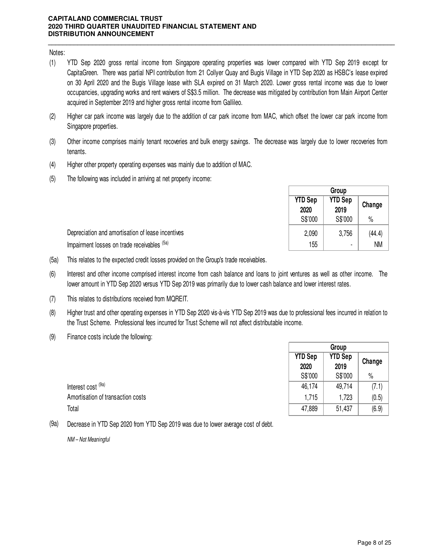Notes:

(1) YTD Sep 2020 gross rental income from Singapore operating properties was lower compared with YTD Sep 2019 except for CapitaGreen. There was partial NPI contribution from 21 Collyer Quay and Bugis Village in YTD Sep 2020 as HSBC's lease expired on 30 April 2020 and the Bugis Village lease with SLA expired on 31 March 2020. Lower gross rental income was due to lower occupancies, upgrading works and rent waivers of S\$3.5 million. The decrease was mitigated by contribution from Main Airport Center acquired in September 2019 and higher gross rental income from Gallileo.

**\_\_\_\_\_\_\_\_\_\_\_\_\_\_\_\_\_\_\_\_\_\_\_\_\_\_\_\_\_\_\_\_\_\_\_\_\_\_\_\_\_\_\_\_\_\_\_\_\_\_\_\_\_\_\_\_\_\_\_\_\_\_\_\_\_\_\_\_\_\_\_\_\_\_\_\_\_\_\_\_\_\_\_\_\_\_\_\_\_\_\_\_\_\_**

- (2) Higher car park income was largely due to the addition of car park income from MAC, which offset the lower car park income from Singapore properties.
- (3) Other income comprises mainly tenant recoveries and bulk energy savings. The decrease was largely due to lower recoveries from tenants.
- (4) Higher other property operating expenses was mainly due to addition of MAC.
- (5) The following was included in arriving at net property income:

|           | Group                  |                        |
|-----------|------------------------|------------------------|
| Change    | <b>YTD Sep</b><br>2019 | <b>YTD Sep</b><br>2020 |
| %         | S\$'000                | S\$'000                |
| (44.4)    | 3,756                  | 2,090                  |
| <b>NM</b> |                        | 155                    |

- (5a) This relates to the expected credit losses provided on the Group's trade receivables.
- (6) Interest and other income comprised interest income from cash balance and loans to joint ventures as well as other income. The lower amount in YTD Sep 2020 versus YTD Sep 2019 was primarily due to lower cash balance and lower interest rates.
- (7) This relates to distributions received from MQREIT.

Impairment losses on trade receivables (5a)

Depreciation and amortisation of lease incentives

- (8) Higher trust and other operating expenses in YTD Sep 2020 vis-à-vis YTD Sep 2019 was due to professional fees incurred in relation to the Trust Scheme. Professional fees incurred for Trust Scheme will not affect distributable income.
- (9) Finance costs include the following:

|                                   | Group                  |                        |        |
|-----------------------------------|------------------------|------------------------|--------|
|                                   | <b>YTD Sep</b><br>2020 | <b>YTD Sep</b><br>2019 | Change |
|                                   | S\$'000                | S\$'000                | $\%$   |
| Interest cost <sup>(9a)</sup>     | 46,174                 | 49,714                 | (7.1)  |
| Amortisation of transaction costs | 1,715                  | 1,723                  | (0.5)  |
| Total                             | 47,889                 | 51,437                 | (6.9)  |

(9a) Decrease in YTD Sep 2020 from YTD Sep 2019 was due to lower average cost of debt.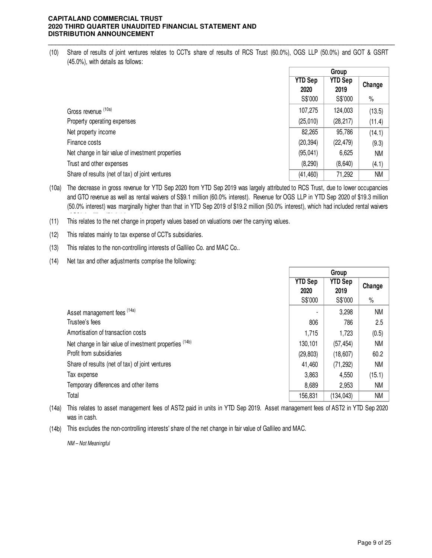(10) Share of results of joint ventures relates to CCT's share of results of RCS Trust (60.0%), OGS LLP (50.0%) and GOT & GSRT (45.0%), with details as follows:

**\_\_\_\_\_\_\_\_\_\_\_\_\_\_\_\_\_\_\_\_\_\_\_\_\_\_\_\_\_\_\_\_\_\_\_\_\_\_\_\_\_\_\_\_\_\_\_\_\_\_\_\_\_\_\_\_\_\_\_\_\_\_\_\_\_\_\_\_\_\_\_\_\_\_\_\_\_\_\_\_\_\_\_\_\_\_\_\_\_\_\_\_\_\_**

|                                                   | Group                  |                        |           |
|---------------------------------------------------|------------------------|------------------------|-----------|
|                                                   | <b>YTD Sep</b><br>2020 | <b>YTD Sep</b><br>2019 | Change    |
|                                                   | S\$'000                | S\$'000                | $\%$      |
| Gross revenue (10a)                               | 107,275                | 124,003                | (13.5)    |
| Property operating expenses                       | (25,010)               | (28, 217)              | (11.4)    |
| Net property income                               | 82,265                 | 95,786                 | (14.1)    |
| Finance costs                                     | (20, 394)              | (22, 479)              | (9.3)     |
| Net change in fair value of investment properties | (95,041)               | 6,625                  | <b>NM</b> |
| Trust and other expenses                          | (8, 290)               | (8,640)                | (4.1)     |
| Share of results (net of tax) of joint ventures   | (41, 460)              | 71,292                 | <b>NM</b> |

- (10a) The decrease in gross revenue for YTD Sep 2020 from YTD Sep 2019 was largely attributed to RCS Trust, due to lower occupancies and GTO revenue as well as rental waivers of S\$9.1 million (60.0% interest). Revenue for OGS LLP in YTD Sep 2020 of \$19.3 million (50.0% interest) was marginally higher than that in YTD Sep 2019 of \$19.2 million (50.0% interest), which had included rental waivers
- (11) This relates to the net change in property values based on valuations over the carrying values.
- (12) This relates mainly to tax expense of CCT's subsidiaries.
- (13) This relates to the non-controlling interests of Gallileo Co. and MAC Co..
- (14) Net tax and other adjustments comprise the following:

|                                                         | Group                  |                        |           |
|---------------------------------------------------------|------------------------|------------------------|-----------|
|                                                         | <b>YTD Sep</b><br>2020 | <b>YTD Sep</b><br>2019 | Change    |
|                                                         | S\$'000                | S\$'000                | $\%$      |
| Asset management fees (14a)                             |                        | 3,298                  | <b>NM</b> |
| Trustee's fees                                          | 806                    | 786                    | 2.5       |
| Amortisation of transaction costs                       | 1,715                  | 1,723                  | (0.5)     |
| Net change in fair value of investment properties (14b) | 130,101                | (57, 454)              | ΝM        |
| Profit from subsidiaries                                | (29, 803)              | (18, 607)              | 60.2      |
| Share of results (net of tax) of joint ventures         | 41,460                 | (71, 292)              | ΝM        |
| Tax expense                                             | 3,863                  | 4,550                  | (15.1)    |
| Temporary differences and other items                   | 8,689                  | 2,953                  | <b>NM</b> |
| Total                                                   | 156,831                | (134, 043)             | <b>NM</b> |

- (14a) This relates to asset management fees of AST2 paid in units in YTD Sep 2019. Asset management fees of AST2 in YTD Sep 2020 was in cash.
- (14b) This excludes the non-controlling interests' share of the net change in fair value of Gallileo and MAC.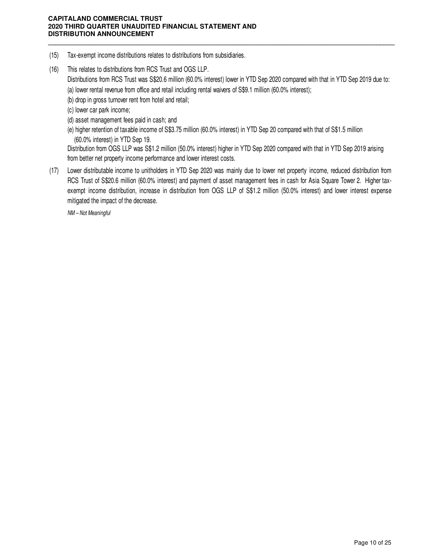- (15) Tax-exempt income distributions relates to distributions from subsidiaries.
- (16) This relates to distributions from RCS Trust and OGS LLP.
	- Distributions from RCS Trust was S\$20.6 million (60.0% interest) lower in YTD Sep 2020 compared with that in YTD Sep 2019 due to: (a) lower rental revenue from office and retail including rental waivers of S\$9.1 million (60.0% interest);

**\_\_\_\_\_\_\_\_\_\_\_\_\_\_\_\_\_\_\_\_\_\_\_\_\_\_\_\_\_\_\_\_\_\_\_\_\_\_\_\_\_\_\_\_\_\_\_\_\_\_\_\_\_\_\_\_\_\_\_\_\_\_\_\_\_\_\_\_\_\_\_\_\_\_\_\_\_\_\_\_\_\_\_\_\_\_\_\_\_\_\_\_\_\_**

- (b) drop in gross turnover rent from hotel and retail;
- (c) lower car park income;
- (d) asset management fees paid in cash; and
- (e) higher retention of taxable income of S\$3.75 million (60.0% interest) in YTD Sep 20 compared with that of S\$1.5 million (60.0% interest) in YTD Sep 19.

Distribution from OGS LLP was S\$1.2 million (50.0% interest) higher in YTD Sep 2020 compared with that in YTD Sep 2019 arising from better net property income performance and lower interest costs.

(17) Lower distributable income to unitholders in YTD Sep 2020 was mainly due to lower net property income, reduced distribution from RCS Trust of S\$20.6 million (60.0% interest) and payment of asset management fees in cash for Asia Square Tower 2. Higher taxexempt income distribution, increase in distribution from OGS LLP of S\$1.2 million (50.0% interest) and lower interest expense mitigated the impact of the decrease.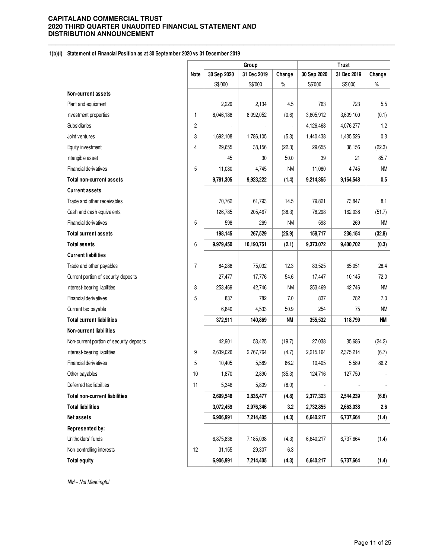### **1(b)(i) Statement of Financial Position as at 30 September 2020 vs 31 December 2019**

|                                          |                | Group       |             | <b>Trust</b> |             |             |           |
|------------------------------------------|----------------|-------------|-------------|--------------|-------------|-------------|-----------|
|                                          | <b>Note</b>    | 30 Sep 2020 | 31 Dec 2019 | Change       | 30 Sep 2020 | 31 Dec 2019 | Change    |
|                                          |                | S\$'000     | S\$'000     | $\%$         | S\$'000     | S\$'000     | $\%$      |
| Non-current assets                       |                |             |             |              |             |             |           |
| Plant and equipment                      |                | 2,229       | 2,134       | 4.5          | 763         | 723         | 5.5       |
| Investment properties                    | 1              | 8,046,188   | 8,092,052   | (0.6)        | 3,605,912   | 3,609,100   | (0.1)     |
| Subsidiaries                             | 2              |             |             |              | 4,126,468   | 4,076,277   | 1.2       |
| Joint ventures                           | 3              | 1,692,108   | 1,786,105   | (5.3)        | 1,440,438   | 1,435,526   | 0.3       |
| Equity investment                        | 4              | 29,655      | 38,156      | (22.3)       | 29,655      | 38,156      | (22.3)    |
| Intangible asset                         |                | 45          | 30          | 50.0         | 39          | 21          | 85.7      |
| Financial derivatives                    | 5              | 11,080      | 4,745       | <b>NM</b>    | 11,080      | 4,745       | <b>NM</b> |
| <b>Total non-current assets</b>          |                | 9,781,305   | 9,923,222   | (1.4)        | 9,214,355   | 9,164,548   | 0.5       |
| <b>Current assets</b>                    |                |             |             |              |             |             |           |
| Trade and other receivables              |                | 70,762      | 61,793      | 14.5         | 79,821      | 73,847      | 8.1       |
| Cash and cash equivalents                |                | 126,785     | 205,467     | (38.3)       | 78,298      | 162,038     | (51.7)    |
| Financial derivatives                    | 5              | 598         | 269         | NМ           | 598         | 269         | <b>NM</b> |
| <b>Total current assets</b>              |                | 198,145     | 267,529     | (25.9)       | 158,717     | 236,154     | (32.8)    |
| <b>Total assets</b>                      | 6              | 9,979,450   | 10,190,751  | (2.1)        | 9,373,072   | 9,400,702   | (0.3)     |
| <b>Current liabilities</b>               |                |             |             |              |             |             |           |
| Trade and other payables                 | $\overline{7}$ | 84,288      | 75,032      | 12.3         | 83,525      | 65,051      | 28.4      |
| Current portion of security deposits     |                | 27,477      | 17,776      | 54.6         | 17,447      | 10,145      | 72.0      |
| Interest-bearing liabilities             | 8              | 253,469     | 42,746      | <b>NM</b>    | 253,469     | 42,746      | <b>NM</b> |
| Financial derivatives                    | 5              | 837         | 782         | 7.0          | 837         | 782         | 7.0       |
| Current tax payable                      |                | 6,840       | 4,533       | 50.9         | 254         | 75          | <b>NM</b> |
| <b>Total current liabilities</b>         |                | 372,911     | 140,869     | <b>NM</b>    | 355,532     | 118,799     | <b>NM</b> |
| Non-current liabilities                  |                |             |             |              |             |             |           |
| Non-current portion of security deposits |                | 42,901      | 53,425      | (19.7)       | 27,038      | 35,686      | (24.2)    |
| Interest-bearing liabilities             | 9              | 2,639,026   | 2,767,764   | (4.7)        | 2,215,164   | 2,375,214   | (6.7)     |
| Financial derivatives                    | 5              | 10,405      | 5,589       | 86.2         | 10,405      | 5,589       | 86.2      |
| Other payables                           | 10             | 1,870       | 2,890       | (35.3)       | 124,716     | 127,750     |           |
| Deferred tax liabilities                 | 11             | 5,346       | 5,809       | (8.0)        |             |             |           |
| <b>Total non-current liabilities</b>     |                | 2,699,548   | 2,835,477   | (4.8)        | 2,377,323   | 2,544,239   | (6.6)     |
| <b>Total liabilities</b>                 |                | 3,072,459   | 2,976,346   | 3.2          | 2,732,855   | 2,663,038   | $2.6\,$   |
| Net assets                               |                | 6,906,991   | 7,214,405   | (4.3)        | 6,640,217   | 6,737,664   | (1.4)     |
| Represented by:                          |                |             |             |              |             |             |           |
| Unitholders' funds                       |                | 6,875,836   | 7,185,098   | (4.3)        | 6,640,217   | 6,737,664   | (1.4)     |
| Non-controlling interests                | 12             | 31,155      | 29,307      | 6.3          |             |             |           |
| <b>Total equity</b>                      |                | 6,906,991   | 7,214,405   | (4.3)        | 6,640,217   | 6,737,664   | (1.4)     |

**\_\_\_\_\_\_\_\_\_\_\_\_\_\_\_\_\_\_\_\_\_\_\_\_\_\_\_\_\_\_\_\_\_\_\_\_\_\_\_\_\_\_\_\_\_\_\_\_\_\_\_\_\_\_\_\_\_\_\_\_\_\_\_\_\_\_\_\_\_\_\_\_\_\_\_\_\_\_\_\_\_\_\_\_\_\_\_\_\_\_\_\_\_\_**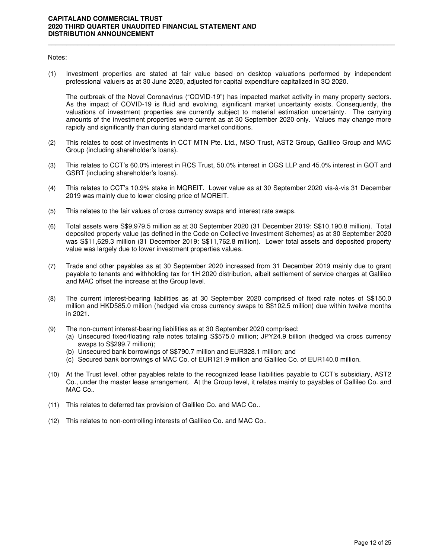Notes:

(1) Investment properties are stated at fair value based on desktop valuations performed by independent professional valuers as at 30 June 2020, adjusted for capital expenditure capitalized in 3Q 2020.

**\_\_\_\_\_\_\_\_\_\_\_\_\_\_\_\_\_\_\_\_\_\_\_\_\_\_\_\_\_\_\_\_\_\_\_\_\_\_\_\_\_\_\_\_\_\_\_\_\_\_\_\_\_\_\_\_\_\_\_\_\_\_\_\_\_\_\_\_\_\_\_\_\_\_\_\_\_\_\_\_\_\_\_\_\_\_\_\_\_\_\_\_\_\_**

The outbreak of the Novel Coronavirus ("COVID-19") has impacted market activity in many property sectors. As the impact of COVID-19 is fluid and evolving, significant market uncertainty exists. Consequently, the valuations of investment properties are currently subject to material estimation uncertainty. The carrying amounts of the investment properties were current as at 30 September 2020 only. Values may change more rapidly and significantly than during standard market conditions.

- (2) This relates to cost of investments in CCT MTN Pte. Ltd., MSO Trust, AST2 Group, Gallileo Group and MAC Group (including shareholder's loans).
- (3) This relates to CCT's 60.0% interest in RCS Trust, 50.0% interest in OGS LLP and 45.0% interest in GOT and GSRT (including shareholder's loans).
- (4) This relates to CCT's 10.9% stake in MQREIT. Lower value as at 30 September 2020 vis-à-vis 31 December 2019 was mainly due to lower closing price of MQREIT.
- (5) This relates to the fair values of cross currency swaps and interest rate swaps.
- (6) Total assets were S\$9,979.5 million as at 30 September 2020 (31 December 2019: S\$10,190.8 million). Total deposited property value (as defined in the Code on Collective Investment Schemes) as at 30 September 2020 was S\$11,629.3 million (31 December 2019: S\$11,762.8 million). Lower total assets and deposited property value was largely due to lower investment properties values.
- (7) Trade and other payables as at 30 September 2020 increased from 31 December 2019 mainly due to grant payable to tenants and withholding tax for 1H 2020 distribution, albeit settlement of service charges at Gallileo and MAC offset the increase at the Group level.
- (8) The current interest-bearing liabilities as at 30 September 2020 comprised of fixed rate notes of S\$150.0 million and HKD585.0 million (hedged via cross currency swaps to S\$102.5 million) due within twelve months in 2021.
- (9) The non-current interest-bearing liabilities as at 30 September 2020 comprised:
	- (a) Unsecured fixed/floating rate notes totaling S\$575.0 million; JPY24.9 billion (hedged via cross currency swaps to S\$299.7 million);
	- (b) Unsecured bank borrowings of S\$790.7 million and EUR328.1 million; and
	- (c) Secured bank borrowings of MAC Co. of EUR121.9 million and Gallileo Co. of EUR140.0 million.
- (10) At the Trust level, other payables relate to the recognized lease liabilities payable to CCT's subsidiary, AST2 Co., under the master lease arrangement. At the Group level, it relates mainly to payables of Gallileo Co. and MAC Co..
- (11) This relates to deferred tax provision of Gallileo Co. and MAC Co..
- (12) This relates to non-controlling interests of Gallileo Co. and MAC Co..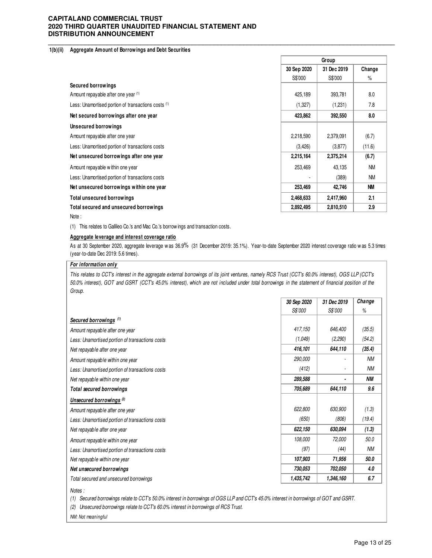### **Aggregate Amount of Borrowings and Debt Securities 1(b)(ii)**

|                                                     |             | Group       |           |  |  |
|-----------------------------------------------------|-------------|-------------|-----------|--|--|
|                                                     | 30 Sep 2020 | 31 Dec 2019 | Change    |  |  |
|                                                     | S\$'000     | S\$'000     | $\%$      |  |  |
| Secured borrowings                                  |             |             |           |  |  |
| Amount repayable after one year (1)                 | 425,189     | 393,781     | 8.0       |  |  |
| Less: Unamortised portion of transactions costs (1) | (1,327)     | (1,231)     | 7.8       |  |  |
| Net secured borrowings after one year               | 423,862     | 392,550     | 8.0       |  |  |
| Unsecured borrowings                                |             |             |           |  |  |
| Amount repayable after one year                     | 2,218,590   | 2,379,091   | (6.7)     |  |  |
| Less: Unamortised portion of transactions costs     | (3,426)     | (3,877)     | (11.6)    |  |  |
| Net unsecured borrowings after one year             | 2,215,164   | 2,375,214   | (6.7)     |  |  |
| Amount repayable within one year                    | 253,469     | 43,135      | <b>NM</b> |  |  |
| Less: Unamortised portion of transactions costs     |             | (389)       | <b>NM</b> |  |  |
| Net unsecured borrowings within one year            | 253,469     | 42,746      | <b>NM</b> |  |  |
| <b>Total unsecured borrowings</b>                   | 2,468,633   | 2,417,960   | 2.1       |  |  |
| Total secured and unsecured borrowings              | 2,892,495   | 2,810,510   | 2.9       |  |  |
| Note:                                               |             |             |           |  |  |

**\_\_\_\_\_\_\_\_\_\_\_\_\_\_\_\_\_\_\_\_\_\_\_\_\_\_\_\_\_\_\_\_\_\_\_\_\_\_\_\_\_\_\_\_\_\_\_\_\_\_\_\_\_\_\_\_\_\_\_\_\_\_\_\_\_\_\_\_\_\_\_\_\_\_\_\_\_\_\_\_\_\_\_\_\_\_\_\_\_\_\_\_\_\_**

(1) This relates to Gallileo Co.'s and Mac Co.'s borrow ings and transaction costs.

# **Aggregate leverage and interest coverage ratio**

As at 30 September 2020, aggregate leverage w as 36.9% (31 December 2019: 35.1%). Year-to-date September 2020 interest coverage ratio w as 5.3 times (year-to-date Dec 2019: 5.6 times).

### **For information only**

This relates to CCT's interest in the aggregate external borrowings of its joint ventures, namely RCS Trust (CCT's 60.0% interest), OGS LLP (CCT's 50.0% interest), GOT and GSRT (CCT's 45.0% interest), which are not included under total borrowings in the statement of financial position of the Group.

|                                                 | 30 Sep 2020 | 31 Dec 2019              | Change    |
|-------------------------------------------------|-------------|--------------------------|-----------|
|                                                 | S\$'000     | <i>S\$'000</i>           | %         |
| Secured borrowings <sup>(1)</sup>               |             |                          |           |
| Amount repayable after one year                 | 417,150     | 646,400                  | (35.5)    |
| Less: Unamortised portion of transactions costs | (1,049)     | (2,290)                  | (54.2)    |
| Net repayable after one year                    | 416,101     | 644,110                  | (35.4)    |
| Amount repayable within one year                | 290,000     |                          | <b>NM</b> |
| Less: Unamortised portion of transactions costs | (412)       | $\overline{\phantom{a}}$ | NM        |
| Net repayable within one year                   | 289,588     | ۰                        | ΝM        |
| <b>Total secured borrowings</b>                 | 705,689     | 644,110                  | 9.6       |
| Unsecured borrowings <sup>(2)</sup>             |             |                          |           |
| Amount repayable after one year                 | 622,800     | 630,900                  | (1.3)     |
| Less: Unamortised portion of transactions costs | (650)       | (806)                    | (19.4)    |
| Net repayable after one year                    | 622,150     | 630,094                  | (1.3)     |
| Amount repayable within one year                | 108,000     | 72,000                   | 50.0      |
| Less: Unamortised portion of transactions costs | (97)        | (44)                     | ΝM        |
| Net repayable within one year                   | 107,903     | 71,956                   | 50.0      |
| Net unsecured borrowings                        | 730,053     | 702,050                  | 4.0       |
| Total secured and unsecured borrowings          | 1,435,742   | 1,346,160                | 6.7       |

Notes :

(1) Secured borrowings relate to CCT's 50.0% interest in borrowings of OGS LLP and CCT's 45.0% interest in borrowings of GOT and GSRT.

(2) Unsecured borrowings relate to CCT's 60.0% interest in borrowings of RCS Trust.

NM: Not meaningful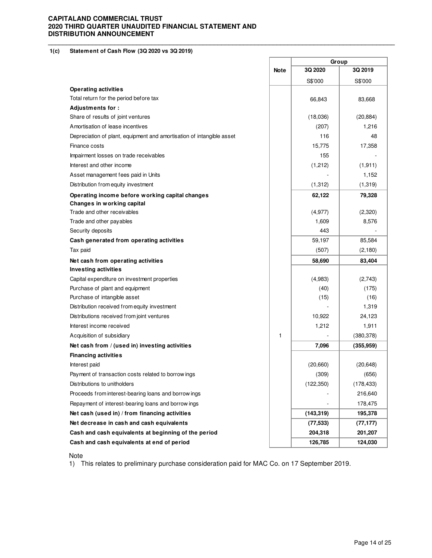**1(c) Statement of Cash Flow (3Q 2020 vs 3Q 2019)** 

|                                                                       |             | Group      |            |  |
|-----------------------------------------------------------------------|-------------|------------|------------|--|
|                                                                       | <b>Note</b> | 3Q 2020    | 3Q 2019    |  |
|                                                                       |             | S\$'000    | S\$'000    |  |
| <b>Operating activities</b>                                           |             |            |            |  |
| Total return for the period before tax                                |             | 66,843     | 83,668     |  |
| Adjustments for:                                                      |             |            |            |  |
| Share of results of joint ventures                                    |             | (18,036)   | (20, 884)  |  |
| Amortisation of lease incentives                                      |             | (207)      | 1,216      |  |
| Depreciation of plant, equipment and amortisation of intangible asset |             | 116        | 48         |  |
| Finance costs                                                         |             | 15,775     | 17,358     |  |
| Impairment losses on trade receivables                                |             | 155        |            |  |
| Interest and other income                                             |             | (1,212)    | (1,911)    |  |
| Asset management fees paid in Units                                   |             |            | 1,152      |  |
| Distribution from equity investment                                   |             | (1,312)    | (1, 319)   |  |
| Operating income before working capital changes                       |             | 62,122     | 79,328     |  |
| Changes in working capital                                            |             |            |            |  |
| Trade and other receivables                                           |             | (4,977)    | (2,320)    |  |
| Trade and other payables                                              |             | 1,609      | 8,576      |  |
| Security deposits                                                     |             | 443        |            |  |
| Cash generated from operating activities                              |             | 59,197     | 85,584     |  |
| Tax paid                                                              |             | (507)      | (2, 180)   |  |
| Net cash from operating activities                                    |             | 58,690     | 83,404     |  |
| <b>Investing activities</b>                                           |             |            |            |  |
| Capital expenditure on investment properties                          |             | (4,983)    | (2,743)    |  |
| Purchase of plant and equipment                                       |             | (40)       | (175)      |  |
| Purchase of intangible asset                                          |             | (15)       | (16)       |  |
| Distribution received from equity investment                          |             |            | 1,319      |  |
| Distributions received from joint ventures                            |             | 10,922     | 24,123     |  |
| Interest income received                                              |             | 1,212      | 1,911      |  |
| Acquisition of subsidiary                                             | 1           |            | (380, 378) |  |
| Net cash from / (used in) investing activities                        |             | 7,096      | (355, 959) |  |
| <b>Financing activities</b>                                           |             |            |            |  |
| Interest paid                                                         |             | (20,660)   | (20, 648)  |  |
| Payment of transaction costs related to borrow ings                   |             | (309)      | (656)      |  |
| Distributions to unitholders                                          |             | (122, 350) | (178, 433) |  |
| Proceeds from interest-bearing loans and borrow ings                  |             |            | 216,640    |  |
| Repayment of interest-bearing loans and borrow ings                   |             |            | 178,475    |  |
| Net cash (used in) / from financing activities                        |             | (143, 319) | 195,378    |  |
| Net decrease in cash and cash equivalents                             |             | (77, 533)  | (77, 177)  |  |
| Cash and cash equivalents at beginning of the period                  |             | 204,318    | 201,207    |  |
| Cash and cash equivalents at end of period                            |             | 126,785    | 124,030    |  |

**\_\_\_\_\_\_\_\_\_\_\_\_\_\_\_\_\_\_\_\_\_\_\_\_\_\_\_\_\_\_\_\_\_\_\_\_\_\_\_\_\_\_\_\_\_\_\_\_\_\_\_\_\_\_\_\_\_\_\_\_\_\_\_\_\_\_\_\_\_\_\_\_\_\_\_\_\_\_\_\_\_\_\_\_\_\_\_\_\_\_\_\_\_\_**

Note

1) This relates to preliminary purchase consideration paid for MAC Co. on 17 September 2019.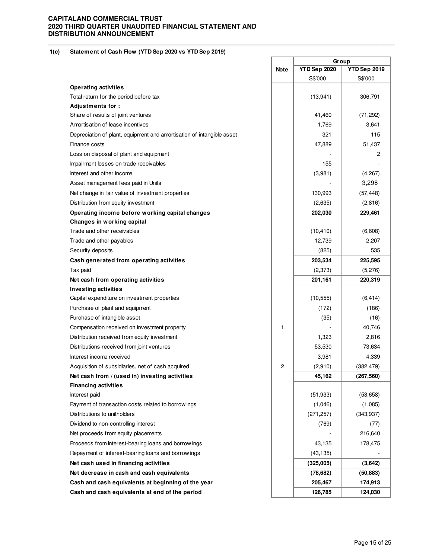#### **1(c) Statement of Cash Flow (YTD Sep 2020 vs YTD Sep 2019)**

| YTD Sep 2020<br>YTD Sep 2019<br><b>Note</b><br>S\$'000<br>S\$'000<br><b>Operating activities</b><br>Total return for the period before tax<br>306,791<br>(13, 941)<br>Adjustments for:<br>Share of results of joint ventures<br>41,460<br>(71, 292)<br>Amortisation of lease incentives<br>1,769<br>3,641<br>321<br>115<br>Depreciation of plant, equipment and amortisation of intangible asset<br>Finance costs<br>47,889<br>51,437<br>2<br>Impairment losses on trade receivables<br>155<br>Interest and other income<br>(3,981)<br>(4,267)<br>3,298<br>(57, 448)<br>130,993<br>Distribution from equity investment<br>(2,635)<br>(2,816)<br>Operating income before working capital changes<br>202,030<br>229,461<br>Changes in working capital<br>Trade and other receivables<br>(10, 410)<br>(6,608)<br>12,739<br>2,207<br>535<br>(825)<br>203,534<br>225,595<br>(2,373)<br>(5,276)<br>201,161<br>220,319<br>(10, 555)<br>Capital expenditure on investment properties<br>(6, 414)<br>Purchase of plant and equipment<br>(172)<br>(186)<br>Purchase of intangible asset<br>(35)<br>(16)<br>1<br>40,746<br>Compensation received on investment property<br>Distribution received from equity investment<br>2,816<br>1,323<br>53,530<br>73,634<br>Distributions received from joint ventures<br>3,981<br>4,339<br>Interest income received<br>2<br>(2,910)<br>(382, 479)<br>Acquisition of subsidiaries, net of cash acquired<br>Net cash from / (used in) investing activities<br>45,162<br>(267, 560)<br><b>Financing activities</b><br>Interest paid<br>(51, 933)<br>(53, 658)<br>Payment of transaction costs related to borrowings<br>(1,046)<br>(1,085)<br>Distributions to unitholders<br>(271, 257)<br>(343, 937)<br>Dividend to non-controlling interest<br>(769)<br>(77)<br>Net proceeds from equity placements<br>216,640<br>Proceeds from interest-bearing loans and borrow ings<br>43,135<br>178,475<br>Repayment of interest-bearing loans and borrow ings<br>(43, 135)<br>Net cash used in financing activities<br>(325,005)<br>(3,642)<br>Net decrease in cash and cash equivalents<br>(78, 682)<br>(50, 883)<br>Cash and cash equivalents at beginning of the year<br>205,467<br>174,913<br>126,785<br>124,030<br>Cash and cash equivalents at end of the period |                                                   | Group |  |  |
|---------------------------------------------------------------------------------------------------------------------------------------------------------------------------------------------------------------------------------------------------------------------------------------------------------------------------------------------------------------------------------------------------------------------------------------------------------------------------------------------------------------------------------------------------------------------------------------------------------------------------------------------------------------------------------------------------------------------------------------------------------------------------------------------------------------------------------------------------------------------------------------------------------------------------------------------------------------------------------------------------------------------------------------------------------------------------------------------------------------------------------------------------------------------------------------------------------------------------------------------------------------------------------------------------------------------------------------------------------------------------------------------------------------------------------------------------------------------------------------------------------------------------------------------------------------------------------------------------------------------------------------------------------------------------------------------------------------------------------------------------------------------------------------------------------------------------------------------------------------------------------------------------------------------------------------------------------------------------------------------------------------------------------------------------------------------------------------------------------------------------------------------------------------------------------------------------------------------------------------------------------------------------------------|---------------------------------------------------|-------|--|--|
|                                                                                                                                                                                                                                                                                                                                                                                                                                                                                                                                                                                                                                                                                                                                                                                                                                                                                                                                                                                                                                                                                                                                                                                                                                                                                                                                                                                                                                                                                                                                                                                                                                                                                                                                                                                                                                                                                                                                                                                                                                                                                                                                                                                                                                                                                       |                                                   |       |  |  |
|                                                                                                                                                                                                                                                                                                                                                                                                                                                                                                                                                                                                                                                                                                                                                                                                                                                                                                                                                                                                                                                                                                                                                                                                                                                                                                                                                                                                                                                                                                                                                                                                                                                                                                                                                                                                                                                                                                                                                                                                                                                                                                                                                                                                                                                                                       |                                                   |       |  |  |
|                                                                                                                                                                                                                                                                                                                                                                                                                                                                                                                                                                                                                                                                                                                                                                                                                                                                                                                                                                                                                                                                                                                                                                                                                                                                                                                                                                                                                                                                                                                                                                                                                                                                                                                                                                                                                                                                                                                                                                                                                                                                                                                                                                                                                                                                                       |                                                   |       |  |  |
|                                                                                                                                                                                                                                                                                                                                                                                                                                                                                                                                                                                                                                                                                                                                                                                                                                                                                                                                                                                                                                                                                                                                                                                                                                                                                                                                                                                                                                                                                                                                                                                                                                                                                                                                                                                                                                                                                                                                                                                                                                                                                                                                                                                                                                                                                       |                                                   |       |  |  |
|                                                                                                                                                                                                                                                                                                                                                                                                                                                                                                                                                                                                                                                                                                                                                                                                                                                                                                                                                                                                                                                                                                                                                                                                                                                                                                                                                                                                                                                                                                                                                                                                                                                                                                                                                                                                                                                                                                                                                                                                                                                                                                                                                                                                                                                                                       |                                                   |       |  |  |
|                                                                                                                                                                                                                                                                                                                                                                                                                                                                                                                                                                                                                                                                                                                                                                                                                                                                                                                                                                                                                                                                                                                                                                                                                                                                                                                                                                                                                                                                                                                                                                                                                                                                                                                                                                                                                                                                                                                                                                                                                                                                                                                                                                                                                                                                                       |                                                   |       |  |  |
|                                                                                                                                                                                                                                                                                                                                                                                                                                                                                                                                                                                                                                                                                                                                                                                                                                                                                                                                                                                                                                                                                                                                                                                                                                                                                                                                                                                                                                                                                                                                                                                                                                                                                                                                                                                                                                                                                                                                                                                                                                                                                                                                                                                                                                                                                       |                                                   |       |  |  |
|                                                                                                                                                                                                                                                                                                                                                                                                                                                                                                                                                                                                                                                                                                                                                                                                                                                                                                                                                                                                                                                                                                                                                                                                                                                                                                                                                                                                                                                                                                                                                                                                                                                                                                                                                                                                                                                                                                                                                                                                                                                                                                                                                                                                                                                                                       |                                                   |       |  |  |
|                                                                                                                                                                                                                                                                                                                                                                                                                                                                                                                                                                                                                                                                                                                                                                                                                                                                                                                                                                                                                                                                                                                                                                                                                                                                                                                                                                                                                                                                                                                                                                                                                                                                                                                                                                                                                                                                                                                                                                                                                                                                                                                                                                                                                                                                                       |                                                   |       |  |  |
|                                                                                                                                                                                                                                                                                                                                                                                                                                                                                                                                                                                                                                                                                                                                                                                                                                                                                                                                                                                                                                                                                                                                                                                                                                                                                                                                                                                                                                                                                                                                                                                                                                                                                                                                                                                                                                                                                                                                                                                                                                                                                                                                                                                                                                                                                       | Loss on disposal of plant and equipment           |       |  |  |
|                                                                                                                                                                                                                                                                                                                                                                                                                                                                                                                                                                                                                                                                                                                                                                                                                                                                                                                                                                                                                                                                                                                                                                                                                                                                                                                                                                                                                                                                                                                                                                                                                                                                                                                                                                                                                                                                                                                                                                                                                                                                                                                                                                                                                                                                                       |                                                   |       |  |  |
|                                                                                                                                                                                                                                                                                                                                                                                                                                                                                                                                                                                                                                                                                                                                                                                                                                                                                                                                                                                                                                                                                                                                                                                                                                                                                                                                                                                                                                                                                                                                                                                                                                                                                                                                                                                                                                                                                                                                                                                                                                                                                                                                                                                                                                                                                       |                                                   |       |  |  |
|                                                                                                                                                                                                                                                                                                                                                                                                                                                                                                                                                                                                                                                                                                                                                                                                                                                                                                                                                                                                                                                                                                                                                                                                                                                                                                                                                                                                                                                                                                                                                                                                                                                                                                                                                                                                                                                                                                                                                                                                                                                                                                                                                                                                                                                                                       | Asset management fees paid in Units               |       |  |  |
|                                                                                                                                                                                                                                                                                                                                                                                                                                                                                                                                                                                                                                                                                                                                                                                                                                                                                                                                                                                                                                                                                                                                                                                                                                                                                                                                                                                                                                                                                                                                                                                                                                                                                                                                                                                                                                                                                                                                                                                                                                                                                                                                                                                                                                                                                       | Net change in fair value of investment properties |       |  |  |
|                                                                                                                                                                                                                                                                                                                                                                                                                                                                                                                                                                                                                                                                                                                                                                                                                                                                                                                                                                                                                                                                                                                                                                                                                                                                                                                                                                                                                                                                                                                                                                                                                                                                                                                                                                                                                                                                                                                                                                                                                                                                                                                                                                                                                                                                                       |                                                   |       |  |  |
|                                                                                                                                                                                                                                                                                                                                                                                                                                                                                                                                                                                                                                                                                                                                                                                                                                                                                                                                                                                                                                                                                                                                                                                                                                                                                                                                                                                                                                                                                                                                                                                                                                                                                                                                                                                                                                                                                                                                                                                                                                                                                                                                                                                                                                                                                       |                                                   |       |  |  |
|                                                                                                                                                                                                                                                                                                                                                                                                                                                                                                                                                                                                                                                                                                                                                                                                                                                                                                                                                                                                                                                                                                                                                                                                                                                                                                                                                                                                                                                                                                                                                                                                                                                                                                                                                                                                                                                                                                                                                                                                                                                                                                                                                                                                                                                                                       |                                                   |       |  |  |
|                                                                                                                                                                                                                                                                                                                                                                                                                                                                                                                                                                                                                                                                                                                                                                                                                                                                                                                                                                                                                                                                                                                                                                                                                                                                                                                                                                                                                                                                                                                                                                                                                                                                                                                                                                                                                                                                                                                                                                                                                                                                                                                                                                                                                                                                                       |                                                   |       |  |  |
|                                                                                                                                                                                                                                                                                                                                                                                                                                                                                                                                                                                                                                                                                                                                                                                                                                                                                                                                                                                                                                                                                                                                                                                                                                                                                                                                                                                                                                                                                                                                                                                                                                                                                                                                                                                                                                                                                                                                                                                                                                                                                                                                                                                                                                                                                       | Trade and other payables                          |       |  |  |
|                                                                                                                                                                                                                                                                                                                                                                                                                                                                                                                                                                                                                                                                                                                                                                                                                                                                                                                                                                                                                                                                                                                                                                                                                                                                                                                                                                                                                                                                                                                                                                                                                                                                                                                                                                                                                                                                                                                                                                                                                                                                                                                                                                                                                                                                                       | Security deposits                                 |       |  |  |
|                                                                                                                                                                                                                                                                                                                                                                                                                                                                                                                                                                                                                                                                                                                                                                                                                                                                                                                                                                                                                                                                                                                                                                                                                                                                                                                                                                                                                                                                                                                                                                                                                                                                                                                                                                                                                                                                                                                                                                                                                                                                                                                                                                                                                                                                                       | Cash generated from operating activities          |       |  |  |
|                                                                                                                                                                                                                                                                                                                                                                                                                                                                                                                                                                                                                                                                                                                                                                                                                                                                                                                                                                                                                                                                                                                                                                                                                                                                                                                                                                                                                                                                                                                                                                                                                                                                                                                                                                                                                                                                                                                                                                                                                                                                                                                                                                                                                                                                                       | Tax paid                                          |       |  |  |
|                                                                                                                                                                                                                                                                                                                                                                                                                                                                                                                                                                                                                                                                                                                                                                                                                                                                                                                                                                                                                                                                                                                                                                                                                                                                                                                                                                                                                                                                                                                                                                                                                                                                                                                                                                                                                                                                                                                                                                                                                                                                                                                                                                                                                                                                                       | Net cash from operating activities                |       |  |  |
|                                                                                                                                                                                                                                                                                                                                                                                                                                                                                                                                                                                                                                                                                                                                                                                                                                                                                                                                                                                                                                                                                                                                                                                                                                                                                                                                                                                                                                                                                                                                                                                                                                                                                                                                                                                                                                                                                                                                                                                                                                                                                                                                                                                                                                                                                       | <b>Investing activities</b>                       |       |  |  |
|                                                                                                                                                                                                                                                                                                                                                                                                                                                                                                                                                                                                                                                                                                                                                                                                                                                                                                                                                                                                                                                                                                                                                                                                                                                                                                                                                                                                                                                                                                                                                                                                                                                                                                                                                                                                                                                                                                                                                                                                                                                                                                                                                                                                                                                                                       |                                                   |       |  |  |
|                                                                                                                                                                                                                                                                                                                                                                                                                                                                                                                                                                                                                                                                                                                                                                                                                                                                                                                                                                                                                                                                                                                                                                                                                                                                                                                                                                                                                                                                                                                                                                                                                                                                                                                                                                                                                                                                                                                                                                                                                                                                                                                                                                                                                                                                                       |                                                   |       |  |  |
|                                                                                                                                                                                                                                                                                                                                                                                                                                                                                                                                                                                                                                                                                                                                                                                                                                                                                                                                                                                                                                                                                                                                                                                                                                                                                                                                                                                                                                                                                                                                                                                                                                                                                                                                                                                                                                                                                                                                                                                                                                                                                                                                                                                                                                                                                       |                                                   |       |  |  |
|                                                                                                                                                                                                                                                                                                                                                                                                                                                                                                                                                                                                                                                                                                                                                                                                                                                                                                                                                                                                                                                                                                                                                                                                                                                                                                                                                                                                                                                                                                                                                                                                                                                                                                                                                                                                                                                                                                                                                                                                                                                                                                                                                                                                                                                                                       |                                                   |       |  |  |
|                                                                                                                                                                                                                                                                                                                                                                                                                                                                                                                                                                                                                                                                                                                                                                                                                                                                                                                                                                                                                                                                                                                                                                                                                                                                                                                                                                                                                                                                                                                                                                                                                                                                                                                                                                                                                                                                                                                                                                                                                                                                                                                                                                                                                                                                                       |                                                   |       |  |  |
|                                                                                                                                                                                                                                                                                                                                                                                                                                                                                                                                                                                                                                                                                                                                                                                                                                                                                                                                                                                                                                                                                                                                                                                                                                                                                                                                                                                                                                                                                                                                                                                                                                                                                                                                                                                                                                                                                                                                                                                                                                                                                                                                                                                                                                                                                       |                                                   |       |  |  |
|                                                                                                                                                                                                                                                                                                                                                                                                                                                                                                                                                                                                                                                                                                                                                                                                                                                                                                                                                                                                                                                                                                                                                                                                                                                                                                                                                                                                                                                                                                                                                                                                                                                                                                                                                                                                                                                                                                                                                                                                                                                                                                                                                                                                                                                                                       |                                                   |       |  |  |
|                                                                                                                                                                                                                                                                                                                                                                                                                                                                                                                                                                                                                                                                                                                                                                                                                                                                                                                                                                                                                                                                                                                                                                                                                                                                                                                                                                                                                                                                                                                                                                                                                                                                                                                                                                                                                                                                                                                                                                                                                                                                                                                                                                                                                                                                                       |                                                   |       |  |  |
|                                                                                                                                                                                                                                                                                                                                                                                                                                                                                                                                                                                                                                                                                                                                                                                                                                                                                                                                                                                                                                                                                                                                                                                                                                                                                                                                                                                                                                                                                                                                                                                                                                                                                                                                                                                                                                                                                                                                                                                                                                                                                                                                                                                                                                                                                       |                                                   |       |  |  |
|                                                                                                                                                                                                                                                                                                                                                                                                                                                                                                                                                                                                                                                                                                                                                                                                                                                                                                                                                                                                                                                                                                                                                                                                                                                                                                                                                                                                                                                                                                                                                                                                                                                                                                                                                                                                                                                                                                                                                                                                                                                                                                                                                                                                                                                                                       |                                                   |       |  |  |
|                                                                                                                                                                                                                                                                                                                                                                                                                                                                                                                                                                                                                                                                                                                                                                                                                                                                                                                                                                                                                                                                                                                                                                                                                                                                                                                                                                                                                                                                                                                                                                                                                                                                                                                                                                                                                                                                                                                                                                                                                                                                                                                                                                                                                                                                                       |                                                   |       |  |  |
|                                                                                                                                                                                                                                                                                                                                                                                                                                                                                                                                                                                                                                                                                                                                                                                                                                                                                                                                                                                                                                                                                                                                                                                                                                                                                                                                                                                                                                                                                                                                                                                                                                                                                                                                                                                                                                                                                                                                                                                                                                                                                                                                                                                                                                                                                       |                                                   |       |  |  |
|                                                                                                                                                                                                                                                                                                                                                                                                                                                                                                                                                                                                                                                                                                                                                                                                                                                                                                                                                                                                                                                                                                                                                                                                                                                                                                                                                                                                                                                                                                                                                                                                                                                                                                                                                                                                                                                                                                                                                                                                                                                                                                                                                                                                                                                                                       |                                                   |       |  |  |
|                                                                                                                                                                                                                                                                                                                                                                                                                                                                                                                                                                                                                                                                                                                                                                                                                                                                                                                                                                                                                                                                                                                                                                                                                                                                                                                                                                                                                                                                                                                                                                                                                                                                                                                                                                                                                                                                                                                                                                                                                                                                                                                                                                                                                                                                                       |                                                   |       |  |  |
|                                                                                                                                                                                                                                                                                                                                                                                                                                                                                                                                                                                                                                                                                                                                                                                                                                                                                                                                                                                                                                                                                                                                                                                                                                                                                                                                                                                                                                                                                                                                                                                                                                                                                                                                                                                                                                                                                                                                                                                                                                                                                                                                                                                                                                                                                       |                                                   |       |  |  |
|                                                                                                                                                                                                                                                                                                                                                                                                                                                                                                                                                                                                                                                                                                                                                                                                                                                                                                                                                                                                                                                                                                                                                                                                                                                                                                                                                                                                                                                                                                                                                                                                                                                                                                                                                                                                                                                                                                                                                                                                                                                                                                                                                                                                                                                                                       |                                                   |       |  |  |
|                                                                                                                                                                                                                                                                                                                                                                                                                                                                                                                                                                                                                                                                                                                                                                                                                                                                                                                                                                                                                                                                                                                                                                                                                                                                                                                                                                                                                                                                                                                                                                                                                                                                                                                                                                                                                                                                                                                                                                                                                                                                                                                                                                                                                                                                                       |                                                   |       |  |  |
|                                                                                                                                                                                                                                                                                                                                                                                                                                                                                                                                                                                                                                                                                                                                                                                                                                                                                                                                                                                                                                                                                                                                                                                                                                                                                                                                                                                                                                                                                                                                                                                                                                                                                                                                                                                                                                                                                                                                                                                                                                                                                                                                                                                                                                                                                       |                                                   |       |  |  |
|                                                                                                                                                                                                                                                                                                                                                                                                                                                                                                                                                                                                                                                                                                                                                                                                                                                                                                                                                                                                                                                                                                                                                                                                                                                                                                                                                                                                                                                                                                                                                                                                                                                                                                                                                                                                                                                                                                                                                                                                                                                                                                                                                                                                                                                                                       |                                                   |       |  |  |
|                                                                                                                                                                                                                                                                                                                                                                                                                                                                                                                                                                                                                                                                                                                                                                                                                                                                                                                                                                                                                                                                                                                                                                                                                                                                                                                                                                                                                                                                                                                                                                                                                                                                                                                                                                                                                                                                                                                                                                                                                                                                                                                                                                                                                                                                                       |                                                   |       |  |  |
|                                                                                                                                                                                                                                                                                                                                                                                                                                                                                                                                                                                                                                                                                                                                                                                                                                                                                                                                                                                                                                                                                                                                                                                                                                                                                                                                                                                                                                                                                                                                                                                                                                                                                                                                                                                                                                                                                                                                                                                                                                                                                                                                                                                                                                                                                       |                                                   |       |  |  |

**\_\_\_\_\_\_\_\_\_\_\_\_\_\_\_\_\_\_\_\_\_\_\_\_\_\_\_\_\_\_\_\_\_\_\_\_\_\_\_\_\_\_\_\_\_\_\_\_\_\_\_\_\_\_\_\_\_\_\_\_\_\_\_\_\_\_\_\_\_\_\_\_\_\_\_\_\_\_\_\_\_\_\_\_\_\_\_\_\_\_\_\_\_\_**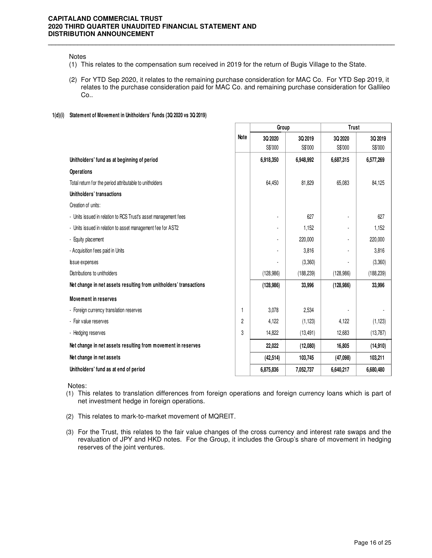**Notes** 

(1) This relates to the compensation sum received in 2019 for the return of Bugis Village to the State.

**\_\_\_\_\_\_\_\_\_\_\_\_\_\_\_\_\_\_\_\_\_\_\_\_\_\_\_\_\_\_\_\_\_\_\_\_\_\_\_\_\_\_\_\_\_\_\_\_\_\_\_\_\_\_\_\_\_\_\_\_\_\_\_\_\_\_\_\_\_\_\_\_\_\_\_\_\_\_\_\_\_\_\_\_\_\_\_\_\_\_\_\_\_\_**

- (2) For YTD Sep 2020, it relates to the remaining purchase consideration for MAC Co. For YTD Sep 2019, it relates to the purchase consideration paid for MAC Co. and remaining purchase consideration for Gallileo Co..
- **1(d)(i) Statement of Movement in Unitholders' Funds (3Q 2020 vs 3Q 2019)**

|                                                                   |      | Group      |            | <b>Trust</b> |            |  |
|-------------------------------------------------------------------|------|------------|------------|--------------|------------|--|
|                                                                   | Note | 3Q 2020    | 3Q 2019    | 3Q 2020      | 3Q 2019    |  |
|                                                                   |      | S\$'000    | S\$'000    | S\$'000      | S\$'000    |  |
| Unitholders' fund as at beginning of period                       |      | 6,918,350  | 6,948,992  | 6,687,315    | 6,577,269  |  |
| <b>Operations</b>                                                 |      |            |            |              |            |  |
| Total return for the period attributable to unitholders           |      | 64,450     | 81,829     | 65,083       | 84,125     |  |
| Unitholders' transactions                                         |      |            |            |              |            |  |
| Creation of units:                                                |      |            |            |              |            |  |
| - Units issued in relation to RCS Trust's asset management fees   |      |            | 627        |              | 627        |  |
| - Units issued in relation to asset management fee for AST2       |      |            | 1,152      |              | 1,152      |  |
| - Equity placement                                                |      |            | 220,000    |              | 220,000    |  |
| - Acquisition fees paid in Units                                  |      |            | 3,816      |              | 3,816      |  |
| <b>Issue expenses</b>                                             |      |            | (3,360)    |              | (3,360)    |  |
| Distributions to unitholders                                      |      | (128, 986) | (188, 239) | (128, 986)   | (188, 239) |  |
| Net change in net assets resulting from unitholders' transactions |      | (128, 986) | 33,996     | (128, 986)   | 33,996     |  |
| <b>Movement in reserves</b>                                       |      |            |            |              |            |  |
| - Foreign currency translation reserves                           | 1    | 3.078      | 2,534      |              |            |  |
| - Fair value reserves                                             | 2    | 4,122      | (1, 123)   | 4,122        | (1, 123)   |  |
| - Hedging reserves                                                | 3    | 14,822     | (13, 491)  | 12,683       | (13,787)   |  |
| Net change in net assets resulting from movement in reserves      |      | 22,022     | (12,080)   | 16,805       | (14, 910)  |  |
| Net change in net assets                                          |      | (42, 514)  | 103,745    | (47,098)     | 103,211    |  |
| Unitholders' fund as at end of period                             |      | 6,875,836  | 7,052,737  | 6,640,217    | 6,680,480  |  |

Notes:

- (1) This relates to translation differences from foreign operations and foreign currency loans which is part of net investment hedge in foreign operations.
- (2) This relates to mark-to-market movement of MQREIT.
- (3) For the Trust, this relates to the fair value changes of the cross currency and interest rate swaps and the revaluation of JPY and HKD notes. For the Group, it includes the Group's share of movement in hedging reserves of the joint ventures.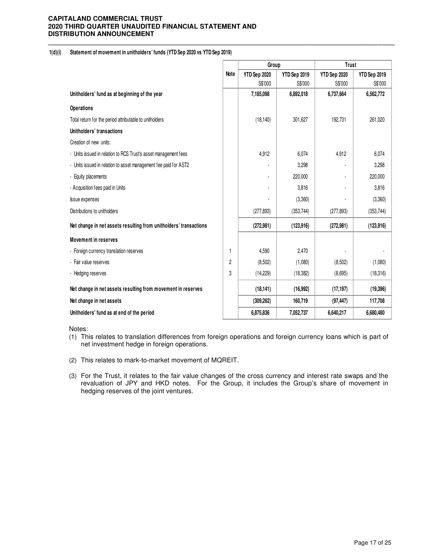### **1(d)(i) Statement of movement in unitholders' funds (YTD Sep 2020 vs YTD Sep 2019)**

|                                                                   |                | Group                        |            | <b>Trust</b>   |              |
|-------------------------------------------------------------------|----------------|------------------------------|------------|----------------|--------------|
|                                                                   | Note           | YTD Sep 2020<br>YTD Sep 2019 |            | YTD Sep 2020   | YTD Sep 2019 |
|                                                                   |                | S\$'000                      | S\$'000    | S\$'000        | S\$'000      |
| Unitholders' fund as at beginning of the year                     |                | 7,185,098                    | 6,892,018  | 6,737,664      | 6,562,772    |
| <b>Operations</b>                                                 |                |                              |            |                |              |
| Total return for the period attributable to unitholders           |                | (18, 140)                    | 301,627    | 192,731        | 261,020      |
| Unitholders' transactions                                         |                |                              |            |                |              |
| Creation of new units:                                            |                |                              |            |                |              |
| - Units issued in relation to RCS Trust's asset management fees   |                | 4,912                        | 6,074      | 4,912          | 6,074        |
| - Units issued in relation to asset management fee paid for AST2  |                |                              | 3,298      |                | 3,298        |
| - Equity placements                                               |                |                              | 220,000    | $\overline{a}$ | 220,000      |
| - Acquisition fees paid in Units                                  |                |                              | 3,816      |                | 3,816        |
| <b>Issue expenses</b>                                             |                |                              | (3,360)    |                | (3,360)      |
| Distributions to unitholders                                      |                | (277, 893)                   | (353, 744) | (277, 893)     | (353, 744)   |
| Net change in net assets resulting from unitholders' transactions |                | (272, 981)                   | (123, 916) | (272, 981)     | (123, 916)   |
| <b>Movement in reserves</b>                                       |                |                              |            |                |              |
| - Foreign currency translation reserves                           | 1              | 4,590                        | 2,470      |                |              |
| - Fair value reserves                                             | $\overline{c}$ | (8,502)                      | (1,080)    | (8,502)        | (1,080)      |
| - Hedging reserves                                                | 3              | (14, 229)                    | (18, 382)  | (8,695)        | (18, 316)    |
| Net change in net assets resulting from movement in reserves      |                | (18, 141)                    | (16, 992)  | (17, 197)      | (19, 396)    |
| Net change in net assets                                          |                | (309, 262)                   | 160,719    | (97, 447)      | 117,708      |
| Unitholders' fund as at end of the period                         |                | 6,875,836                    | 7,052,737  | 6,640,217      | 6,680,480    |

**\_\_\_\_\_\_\_\_\_\_\_\_\_\_\_\_\_\_\_\_\_\_\_\_\_\_\_\_\_\_\_\_\_\_\_\_\_\_\_\_\_\_\_\_\_\_\_\_\_\_\_\_\_\_\_\_\_\_\_\_\_\_\_\_\_\_\_\_\_\_\_\_\_\_\_\_\_\_\_\_\_\_\_\_\_\_\_\_\_\_\_\_\_\_**

Notes:

- (1) This relates to translation differences from foreign operations and foreign currency loans which is part of net investment hedge in foreign operations.
- (2) This relates to mark-to-market movement of MQREIT.
- (3) For the Trust, it relates to the fair value changes of the cross currency and interest rate swaps and the revaluation of JPY and HKD notes. For the Group, it includes the Group's share of movement in hedging reserves of the joint ventures.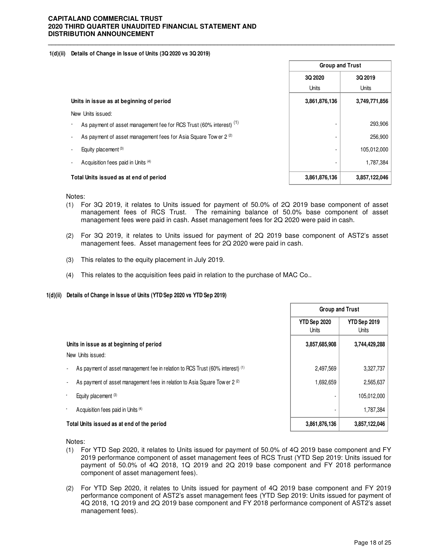### **1(d)(ii) Details of Change in Issue of Units (3Q 2020 vs 3Q 2019)**

|                                                                                | <b>Group and Trust</b> |               |  |
|--------------------------------------------------------------------------------|------------------------|---------------|--|
|                                                                                | 3Q 2020                | 3Q 2019       |  |
|                                                                                | Units                  | Units         |  |
| Units in issue as at beginning of period                                       | 3,861,876,136          | 3,749,771,856 |  |
| New Units issued:                                                              |                        |               |  |
| As payment of asset management fee for RCS Trust (60% interest) <sup>(1)</sup> |                        | 293,906       |  |
| As payment of asset management fees for Asia Square Tow er 2 <sup>(2)</sup>    |                        | 256,900       |  |
| Equity placement (3)                                                           |                        | 105,012,000   |  |
| Acquisition fees paid in Units (4)                                             |                        | 1,787,384     |  |
| Total Units issued as at end of period                                         | 3,861,876,136          | 3,857,122,046 |  |

**\_\_\_\_\_\_\_\_\_\_\_\_\_\_\_\_\_\_\_\_\_\_\_\_\_\_\_\_\_\_\_\_\_\_\_\_\_\_\_\_\_\_\_\_\_\_\_\_\_\_\_\_\_\_\_\_\_\_\_\_\_\_\_\_\_\_\_\_\_\_\_\_\_\_\_\_\_\_\_\_\_\_\_\_\_\_\_\_\_\_\_\_\_\_**

Notes:

- (1) For 3Q 2019, it relates to Units issued for payment of 50.0% of 2Q 2019 base component of asset management fees of RCS Trust. The remaining balance of 50.0% base component of asset management fees were paid in cash. Asset management fees for 2Q 2020 were paid in cash.
- (2) For 3Q 2019, it relates to Units issued for payment of 2Q 2019 base component of AST2's asset management fees. Asset management fees for 2Q 2020 were paid in cash.
- (3) This relates to the equity placement in July 2019.
- (4) This relates to the acquisition fees paid in relation to the purchase of MAC Co..

### **1(d)(ii) Details of Change in Issue of Units (YTD Sep 2020 vs YTD Sep 2019)**

|                                                                                        | <b>Group and Trust</b>       |                       |
|----------------------------------------------------------------------------------------|------------------------------|-----------------------|
|                                                                                        | YTD Sep 2020<br><b>Units</b> | YTD Sep 2019<br>Units |
| Units in issue as at beginning of period<br>New Units issued:                          | 3,857,685,908                | 3,744,429,288         |
| As payment of asset management fee in relation to RCS Trust (60% interest) (1)         | 2,497,569                    | 3,327,737             |
| As payment of asset management fees in relation to Asia Square Tow er 2 <sup>(2)</sup> | 1,692,659                    | 2,565,637             |
| Equity placement (3)                                                                   |                              | 105,012,000           |
| Acquisition fees paid in Units (4)                                                     |                              | 1,787,384             |
| Total Units issued as at end of the period                                             | 3,861,876,136                | 3,857,122,046         |

Notes:

- (1) For YTD Sep 2020, it relates to Units issued for payment of 50.0% of 4Q 2019 base component and FY 2019 performance component of asset management fees of RCS Trust (YTD Sep 2019: Units issued for payment of 50.0% of 4Q 2018, 1Q 2019 and 2Q 2019 base component and FY 2018 performance component of asset management fees).
- (2) For YTD Sep 2020, it relates to Units issued for payment of 4Q 2019 base component and FY 2019 performance component of AST2's asset management fees (YTD Sep 2019: Units issued for payment of 4Q 2018, 1Q 2019 and 2Q 2019 base component and FY 2018 performance component of AST2's asset management fees).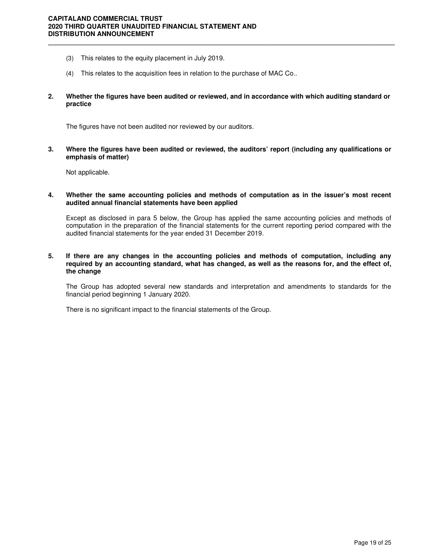- (3) This relates to the equity placement in July 2019.
- (4) This relates to the acquisition fees in relation to the purchase of MAC Co..
- **2. Whether the figures have been audited or reviewed, and in accordance with which auditing standard or practice**

**\_\_\_\_\_\_\_\_\_\_\_\_\_\_\_\_\_\_\_\_\_\_\_\_\_\_\_\_\_\_\_\_\_\_\_\_\_\_\_\_\_\_\_\_\_\_\_\_\_\_\_\_\_\_\_\_\_\_\_\_\_\_\_\_\_\_\_\_\_\_\_\_\_\_\_\_\_\_\_\_\_\_\_\_\_\_\_\_\_\_\_\_\_\_**

The figures have not been audited nor reviewed by our auditors.

**3. Where the figures have been audited or reviewed, the auditors' report (including any qualifications or emphasis of matter)** 

Not applicable.

**4. Whether the same accounting policies and methods of computation as in the issuer's most recent audited annual financial statements have been applied** 

Except as disclosed in para 5 below, the Group has applied the same accounting policies and methods of computation in the preparation of the financial statements for the current reporting period compared with the audited financial statements for the year ended 31 December 2019.

**5. If there are any changes in the accounting policies and methods of computation, including any required by an accounting standard, what has changed, as well as the reasons for, and the effect of, the change** 

The Group has adopted several new standards and interpretation and amendments to standards for the financial period beginning 1 January 2020.

There is no significant impact to the financial statements of the Group.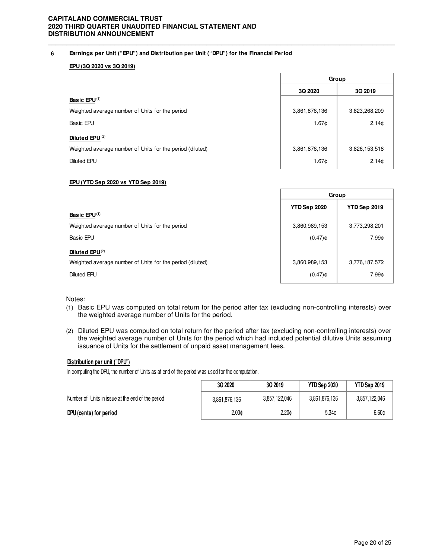#### **6 Earnings per Unit ("EPU") and Distribution per Unit ("DPU") for the Financial Period**

### **EPU (3Q 2020 vs 3Q 2019)**

|                                                           | Group             |                   |  |
|-----------------------------------------------------------|-------------------|-------------------|--|
|                                                           | 3Q 2020           | 3Q 2019           |  |
| Basic EPU <sup>(1)</sup>                                  |                   |                   |  |
| Weighted average number of Units for the period           | 3,861,876,136     | 3,823,268,209     |  |
| Basic EPU                                                 | 1.67 <sub>0</sub> | 2.14 <sub>0</sub> |  |
| Diluted EPU <sup>(2)</sup>                                |                   |                   |  |
| Weighted average number of Units for the period (diluted) | 3,861,876,136     | 3,826,153,518     |  |
| <b>Diluted EPU</b>                                        | 1.67c             | 2.14 <sub>0</sub> |  |

**\_\_\_\_\_\_\_\_\_\_\_\_\_\_\_\_\_\_\_\_\_\_\_\_\_\_\_\_\_\_\_\_\_\_\_\_\_\_\_\_\_\_\_\_\_\_\_\_\_\_\_\_\_\_\_\_\_\_\_\_\_\_\_\_\_\_\_\_\_\_\_\_\_\_\_\_\_\_\_\_\_\_\_\_\_\_\_\_\_\_\_\_\_\_**

### **EPU (YTD Sep 2020 vs YTD Sep 2019)**

|                                                           | Group               |                     |  |
|-----------------------------------------------------------|---------------------|---------------------|--|
|                                                           | <b>YTD Sep 2020</b> | <b>YTD Sep 2019</b> |  |
| Basic EPU <sup>(1)</sup>                                  |                     |                     |  |
| Weighted average number of Units for the period           | 3,860,989,153       | 3,773,298,201       |  |
| Basic EPU                                                 | $(0.47)$ ¢          | 7.99¢               |  |
| Diluted EPU <sup>(2)</sup>                                |                     |                     |  |
| Weighted average number of Units for the period (diluted) | 3,860,989,153       | 3,776,187,572       |  |
| Diluted EPU                                               | $(0.47)$ ¢          | 7.99¢               |  |

Notes:

- (1) Basic EPU was computed on total return for the period after tax (excluding non-controlling interests) over the weighted average number of Units for the period.
- (2) Diluted EPU was computed on total return for the period after tax (excluding non-controlling interests) over the weighted average number of Units for the period which had included potential dilutive Units assuming issuance of Units for the settlement of unpaid asset management fees.

### **Distribution per unit ("DPU")**

In computing the DPU, the number of Units as at end of the period w as used for the computation.

|                                                   | 3Q 2020           | 3Q 2019           | YTD Sep 2020  | YTD Sep 2019  |
|---------------------------------------------------|-------------------|-------------------|---------------|---------------|
| Number of Units in issue at the end of the period | 3,861,876,136     | 3,857,122,046     | 3,861,876,136 | 3,857,122,046 |
| DPU (cents) for period                            | 2.00 <sub>c</sub> | 2.20 <sub>c</sub> | 5.34¢         | 6.60c         |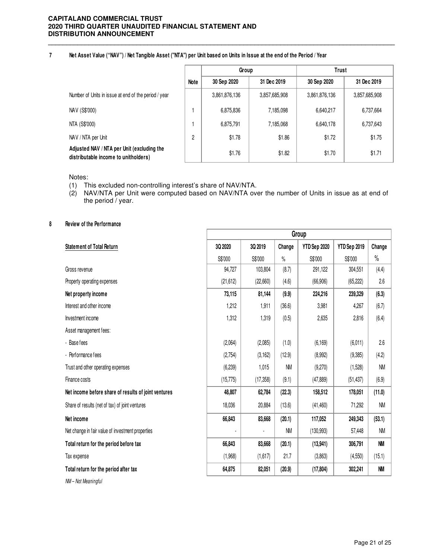#### **7 Net Asset Value ("NAV") / Net Tangible Asset ("NTA") per Unit based on Units in Issue at the end of the Period / Year**

|                                                                                    |                | Group         |               | <b>Trust</b>  |               |
|------------------------------------------------------------------------------------|----------------|---------------|---------------|---------------|---------------|
|                                                                                    | Note           | 30 Sep 2020   | 31 Dec 2019   | 30 Sep 2020   | 31 Dec 2019   |
| Number of Units in issue at end of the period / year                               |                | 3,861,876,136 | 3,857,685,908 | 3,861,876,136 | 3,857,685,908 |
| NAV (S\$'000)                                                                      |                | 6,875,836     | 7,185,098     | 6,640,217     | 6,737,664     |
| NTA (S\$'000)                                                                      |                | 6,875,791     | 7,185,068     | 6,640,178     | 6,737,643     |
| NAV / NTA per Unit                                                                 | $\overline{c}$ | \$1.78        | \$1.86        | \$1.72        | \$1.75        |
| Adjusted NAV / NTA per Unit (excluding the<br>distributable income to unitholders) |                | \$1.76        | \$1.82        | \$1.70        | \$1.71        |

**\_\_\_\_\_\_\_\_\_\_\_\_\_\_\_\_\_\_\_\_\_\_\_\_\_\_\_\_\_\_\_\_\_\_\_\_\_\_\_\_\_\_\_\_\_\_\_\_\_\_\_\_\_\_\_\_\_\_\_\_\_\_\_\_\_\_\_\_\_\_\_\_\_\_\_\_\_\_\_\_\_\_\_\_\_\_\_\_\_\_\_\_\_\_**

Notes:

- (1) This excluded non-controlling interest's share of NAV/NTA.
- (2) NAV/NTA per Unit were computed based on NAV/NTA over the number of Units in issue as at end of the period / year.

### **8 Review of the Performance**

|                                                      | Group     |           |           |              |              |           |
|------------------------------------------------------|-----------|-----------|-----------|--------------|--------------|-----------|
| <b>Statement of Total Return</b>                     | 3Q 2020   | 3Q 2019   | Change    | YTD Sep 2020 | YTD Sep 2019 | Change    |
|                                                      | S\$'000   | S\$'000   | $\%$      | S\$'000      | S\$'000      | $\%$      |
| Gross revenue                                        | 94,727    | 103,804   | (8.7)     | 291,122      | 304,551      | (4.4)     |
| Property operating expenses                          | (21, 612) | (22,660)  | (4.6)     | (66, 906)    | (65, 222)    | 2.6       |
| Net property income                                  | 73,115    | 81,144    | (9.9)     | 224,216      | 239,329      | (6.3)     |
| Interest and other income                            | 1,212     | 1,911     | (36.6)    | 3,981        | 4,267        | (6.7)     |
| Investment income                                    | 1,312     | 1,319     | (0.5)     | 2,635        | 2,816        | (6.4)     |
| Asset management fees:                               |           |           |           |              |              |           |
| Base fees                                            | (2,064)   | (2,085)   | (1.0)     | (6, 169)     | (6,011)      | 2.6       |
| - Performance fees                                   | (2,754)   | (3, 162)  | (12.9)    | (8,992)      | (9,385)      | (4.2)     |
| Trust and other operating expenses                   | (6, 239)  | 1,015     | <b>NM</b> | (9,270)      | (1,528)      | <b>NM</b> |
| Finance costs                                        | (15, 775) | (17, 358) | (9.1)     | (47, 889)    | (51, 437)    | (6.9)     |
| Net income before share of results of joint ventures | 48,807    | 62,784    | (22.3)    | 158,512      | 178,051      | (11.0)    |
| Share of results (net of tax) of joint ventures      | 18,036    | 20,884    | (13.6)    | (41, 460)    | 71,292       | <b>NM</b> |
| Net income                                           | 66,843    | 83,668    | (20.1)    | 117,052      | 249,343      | (53.1)    |
| Net change in fair value of investment properties    |           |           | <b>NM</b> | (130, 993)   | 57,448       | <b>NM</b> |
| Total return for the period before tax               | 66,843    | 83,668    | (20.1)    | (13, 941)    | 306,791      | <b>NM</b> |
| Tax expense                                          | (1,968)   | (1,617)   | 21.7      | (3,863)      | (4, 550)     | (15.1)    |
| Total return for the period after tax                | 64,875    | 82,051    | (20.9)    | (17, 804)    | 302,241      | NM        |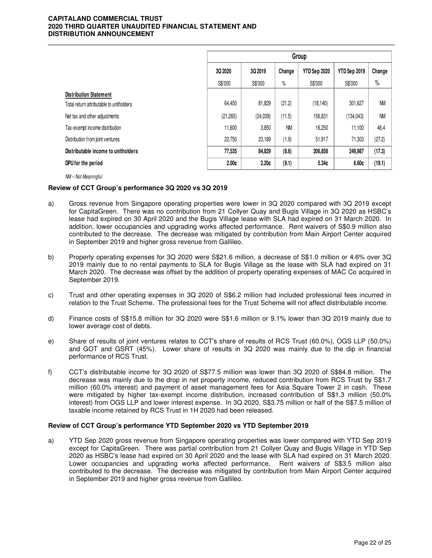|                                          | Group             |          |           |              |              |           |
|------------------------------------------|-------------------|----------|-----------|--------------|--------------|-----------|
|                                          | 3Q 2020           | 3Q 2019  | Change    | YTD Sep 2020 | YTD Sep 2019 | Change    |
|                                          | S\$'000           | S\$'000  | $\%$      | S\$'000      | S\$'000      | $\%$      |
| <b>Distribution Statement</b>            |                   |          |           |              |              |           |
| Total return attributable to unitholders | 64,450            | 81,829   | (21.2)    | (18, 140)    | 301,627      | <b>NM</b> |
| Net tax and other adjustments            | (21, 265)         | (24,039) | (11.5)    | 156,831      | (134, 043)   | <b>NM</b> |
| Tax-exempt income distribution           | 11,600            | 3,850    | <b>NM</b> | 16,250       | 11,100       | 46.4      |
| Distribution from joint ventures         | 22,750            | 23,189   | (1.9)     | 51,917       | 71,303       | (27.2)    |
| Distributable income to unitholders      | 77,535            | 84,829   | (8.6)     | 206,858      | 249,987      | (17.3)    |
| DPU for the period                       | 2.00 <sub>c</sub> | 2.20c    | (9.1)     | 5.34c        | 6.60¢        | (19.1)    |

**\_\_\_\_\_\_\_\_\_\_\_\_\_\_\_\_\_\_\_\_\_\_\_\_\_\_\_\_\_\_\_\_\_\_\_\_\_\_\_\_\_\_\_\_\_\_\_\_\_\_\_\_\_\_\_\_\_\_\_\_\_\_\_\_\_\_\_\_\_\_\_\_\_\_\_\_\_\_\_\_\_\_\_\_\_\_\_\_\_\_\_\_\_\_**

NM – Not Meaningful

### **Review of CCT Group's performance 3Q 2020 vs 3Q 2019**

- a) Gross revenue from Singapore operating properties were lower in 3Q 2020 compared with 3Q 2019 except for CapitaGreen. There was no contribution from 21 Collyer Quay and Bugis Village in 3Q 2020 as HSBC's lease had expired on 30 April 2020 and the Bugis Village lease with SLA had expired on 31 March 2020. In addition, lower occupancies and upgrading works affected performance. Rent waivers of S\$0.9 million also contributed to the decrease. The decrease was mitigated by contribution from Main Airport Center acquired in September 2019 and higher gross revenue from Gallileo.
- b) Property operating expenses for 3Q 2020 were S\$21.6 million, a decrease of S\$1.0 million or 4.6% over 3Q 2019 mainly due to no rental payments to SLA for Bugis Village as the lease with SLA had expired on 31 March 2020. The decrease was offset by the addition of property operating expenses of MAC Co acquired in September 2019.
- c) Trust and other operating expenses in 3Q 2020 of S\$6.2 million had included professional fees incurred in relation to the Trust Scheme. The professional fees for the Trust Scheme will not affect distributable income.
- d) Finance costs of S\$15.8 million for 3Q 2020 were S\$1.6 million or 9.1% lower than 3Q 2019 mainly due to lower average cost of debts.
- e) Share of results of joint ventures relates to CCT's share of results of RCS Trust (60.0%), OGS LLP (50.0%) and GOT and GSRT (45%). Lower share of results in 3Q 2020 was mainly due to the dip in financial performance of RCS Trust.
- f) CCT's distributable income for 3Q 2020 of S\$77.5 million was lower than 3Q 2020 of S\$84.8 million. The decrease was mainly due to the drop in net property income, reduced contribution from RCS Trust by S\$1.7 million (60.0% interest) and payment of asset management fees for Asia Square Tower 2 in cash. These were mitigated by higher tax-exempt income distribution, increased contribution of S\$1.3 million (50.0% interest) from OGS LLP and lower interest expense. In 3Q 2020, S\$3.75 million or half of the S\$7.5 million of taxable income retained by RCS Trust in 1H 2020 had been released.

### **Review of CCT Group's performance YTD September 2020 vs YTD September 2019**

a) YTD Sep 2020 gross revenue from Singapore operating properties was lower compared with YTD Sep 2019 except for CapitaGreen. There was partial contribution from 21 Collyer Quay and Bugis Village in YTD Sep 2020 as HSBC's lease had expired on 30 April 2020 and the lease with SLA had expired on 31 March 2020. Lower occupancies and upgrading works affected performance. Rent waivers of S\$3.5 million also contributed to the decrease. The decrease was mitigated by contribution from Main Airport Center acquired in September 2019 and higher gross revenue from Gallileo.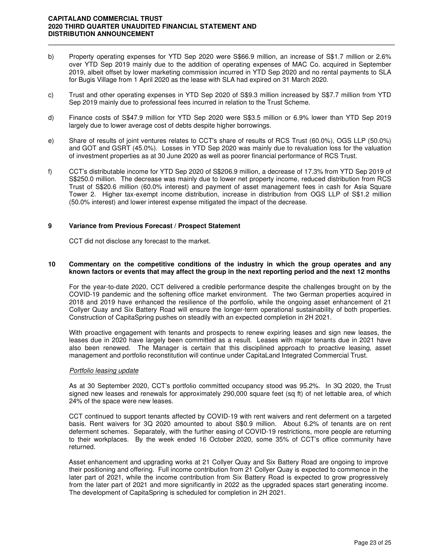b) Property operating expenses for YTD Sep 2020 were S\$66.9 million, an increase of S\$1.7 million or 2.6% over YTD Sep 2019 mainly due to the addition of operating expenses of MAC Co. acquired in September 2019, albeit offset by lower marketing commission incurred in YTD Sep 2020 and no rental payments to SLA for Bugis Village from 1 April 2020 as the lease with SLA had expired on 31 March 2020.

**\_\_\_\_\_\_\_\_\_\_\_\_\_\_\_\_\_\_\_\_\_\_\_\_\_\_\_\_\_\_\_\_\_\_\_\_\_\_\_\_\_\_\_\_\_\_\_\_\_\_\_\_\_\_\_\_\_\_\_\_\_\_\_\_\_\_\_\_\_\_\_\_\_\_\_\_\_\_\_\_\_\_\_\_\_\_\_\_\_\_\_\_\_\_**

- c) Trust and other operating expenses in YTD Sep 2020 of S\$9.3 million increased by S\$7.7 million from YTD Sep 2019 mainly due to professional fees incurred in relation to the Trust Scheme.
- d) Finance costs of S\$47.9 million for YTD Sep 2020 were S\$3.5 million or 6.9% lower than YTD Sep 2019 largely due to lower average cost of debts despite higher borrowings.
- e) Share of results of joint ventures relates to CCT's share of results of RCS Trust (60.0%), OGS LLP (50.0%) and GOT and GSRT (45.0%). Losses in YTD Sep 2020 was mainly due to revaluation loss for the valuation of investment properties as at 30 June 2020 as well as poorer financial performance of RCS Trust.
- f) CCT's distributable income for YTD Sep 2020 of S\$206.9 million, a decrease of 17.3% from YTD Sep 2019 of S\$250.0 million. The decrease was mainly due to lower net property income, reduced distribution from RCS Trust of S\$20.6 million (60.0% interest) and payment of asset management fees in cash for Asia Square Tower 2. Higher tax-exempt income distribution, increase in distribution from OGS LLP of S\$1.2 million (50.0% interest) and lower interest expense mitigated the impact of the decrease.

### **9 Variance from Previous Forecast / Prospect Statement**

CCT did not disclose any forecast to the market.

### **10 Commentary on the competitive conditions of the industry in which the group operates and any known factors or events that may affect the group in the next reporting period and the next 12 months**

For the year-to-date 2020, CCT delivered a credible performance despite the challenges brought on by the COVID-19 pandemic and the softening office market environment. The two German properties acquired in 2018 and 2019 have enhanced the resilience of the portfolio, while the ongoing asset enhancement of 21 Collyer Quay and Six Battery Road will ensure the longer-term operational sustainability of both properties. Construction of CapitaSpring pushes on steadily with an expected completion in 2H 2021.

With proactive engagement with tenants and prospects to renew expiring leases and sign new leases, the leases due in 2020 have largely been committed as a result. Leases with major tenants due in 2021 have also been renewed. The Manager is certain that this disciplined approach to proactive leasing, asset management and portfolio reconstitution will continue under CapitaLand Integrated Commercial Trust.

### Portfolio leasing update

As at 30 September 2020, CCT's portfolio committed occupancy stood was 95.2%. In 3Q 2020, the Trust signed new leases and renewals for approximately 290,000 square feet (sq ft) of net lettable area, of which 24% of the space were new leases.

CCT continued to support tenants affected by COVID-19 with rent waivers and rent deferment on a targeted basis. Rent waivers for 3Q 2020 amounted to about S\$0.9 million. About 6.2% of tenants are on rent deferment schemes. Separately, with the further easing of COVID-19 restrictions, more people are returning to their workplaces. By the week ended 16 October 2020, some 35% of CCT's office community have returned.

Asset enhancement and upgrading works at 21 Collyer Quay and Six Battery Road are ongoing to improve their positioning and offering. Full income contribution from 21 Collyer Quay is expected to commence in the later part of 2021, while the income contribution from Six Battery Road is expected to grow progressively from the later part of 2021 and more significantly in 2022 as the upgraded spaces start generating income. The development of CapitaSpring is scheduled for completion in 2H 2021.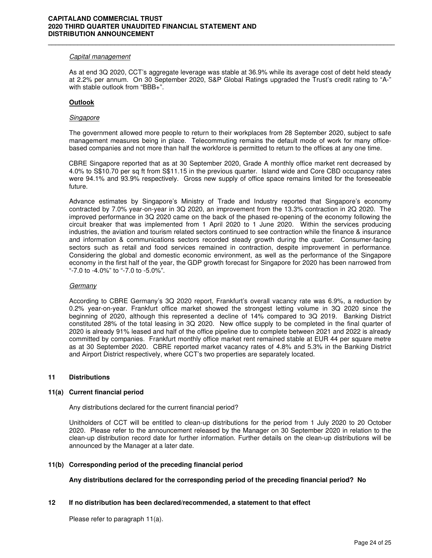### Capital management

As at end 3Q 2020, CCT's aggregate leverage was stable at 36.9% while its average cost of debt held steady at 2.2% per annum. On 30 September 2020, S&P Global Ratings upgraded the Trust's credit rating to "A-" with stable outlook from "BBB+".

**\_\_\_\_\_\_\_\_\_\_\_\_\_\_\_\_\_\_\_\_\_\_\_\_\_\_\_\_\_\_\_\_\_\_\_\_\_\_\_\_\_\_\_\_\_\_\_\_\_\_\_\_\_\_\_\_\_\_\_\_\_\_\_\_\_\_\_\_\_\_\_\_\_\_\_\_\_\_\_\_\_\_\_\_\_\_\_\_\_\_\_\_\_\_**

### **Outlook**

### **Singapore**

The government allowed more people to return to their workplaces from 28 September 2020, subject to safe management measures being in place. Telecommuting remains the default mode of work for many officebased companies and not more than half the workforce is permitted to return to the offices at any one time.

CBRE Singapore reported that as at 30 September 2020, Grade A monthly office market rent decreased by 4.0% to S\$10.70 per sq ft from S\$11.15 in the previous quarter. Island wide and Core CBD occupancy rates were 94.1% and 93.9% respectively. Gross new supply of office space remains limited for the foreseeable future.

Advance estimates by Singapore's Ministry of Trade and Industry reported that Singapore's economy contracted by 7.0% year-on-year in 3Q 2020, an improvement from the 13.3% contraction in 2Q 2020. The improved performance in 3Q 2020 came on the back of the phased re-opening of the economy following the circuit breaker that was implemented from 1 April 2020 to 1 June 2020. Within the services producing industries, the aviation and tourism related sectors continued to see contraction while the finance & insurance and information & communications sectors recorded steady growth during the quarter. Consumer-facing sectors such as retail and food services remained in contraction, despite improvement in performance. Considering the global and domestic economic environment, as well as the performance of the Singapore economy in the first half of the year, the GDP growth forecast for Singapore for 2020 has been narrowed from "-7.0 to -4.0%" to "-7.0 to -5.0%".

### **Germany**

According to CBRE Germany's 3Q 2020 report, Frankfurt's overall vacancy rate was 6.9%, a reduction by 0.2% year-on-year. Frankfurt office market showed the strongest letting volume in 3Q 2020 since the beginning of 2020, although this represented a decline of 14% compared to 3Q 2019. Banking District constituted 28% of the total leasing in 3Q 2020. New office supply to be completed in the final quarter of 2020 is already 91% leased and half of the office pipeline due to complete between 2021 and 2022 is already committed by companies. Frankfurt monthly office market rent remained stable at EUR 44 per square metre as at 30 September 2020. CBRE reported market vacancy rates of 4.8% and 5.3% in the Banking District and Airport District respectively, where CCT's two properties are separately located.

### **11 Distributions**

### **11(a) Current financial period**

Any distributions declared for the current financial period?

Unitholders of CCT will be entitled to clean-up distributions for the period from 1 July 2020 to 20 October 2020. Please refer to the announcement released by the Manager on 30 September 2020 in relation to the clean-up distribution record date for further information. Further details on the clean-up distributions will be announced by the Manager at a later date.

### **11(b) Corresponding period of the preceding financial period**

### **Any distributions declared for the corresponding period of the preceding financial period? No**

### **12 If no distribution has been declared/recommended, a statement to that effect**

Please refer to paragraph 11(a).